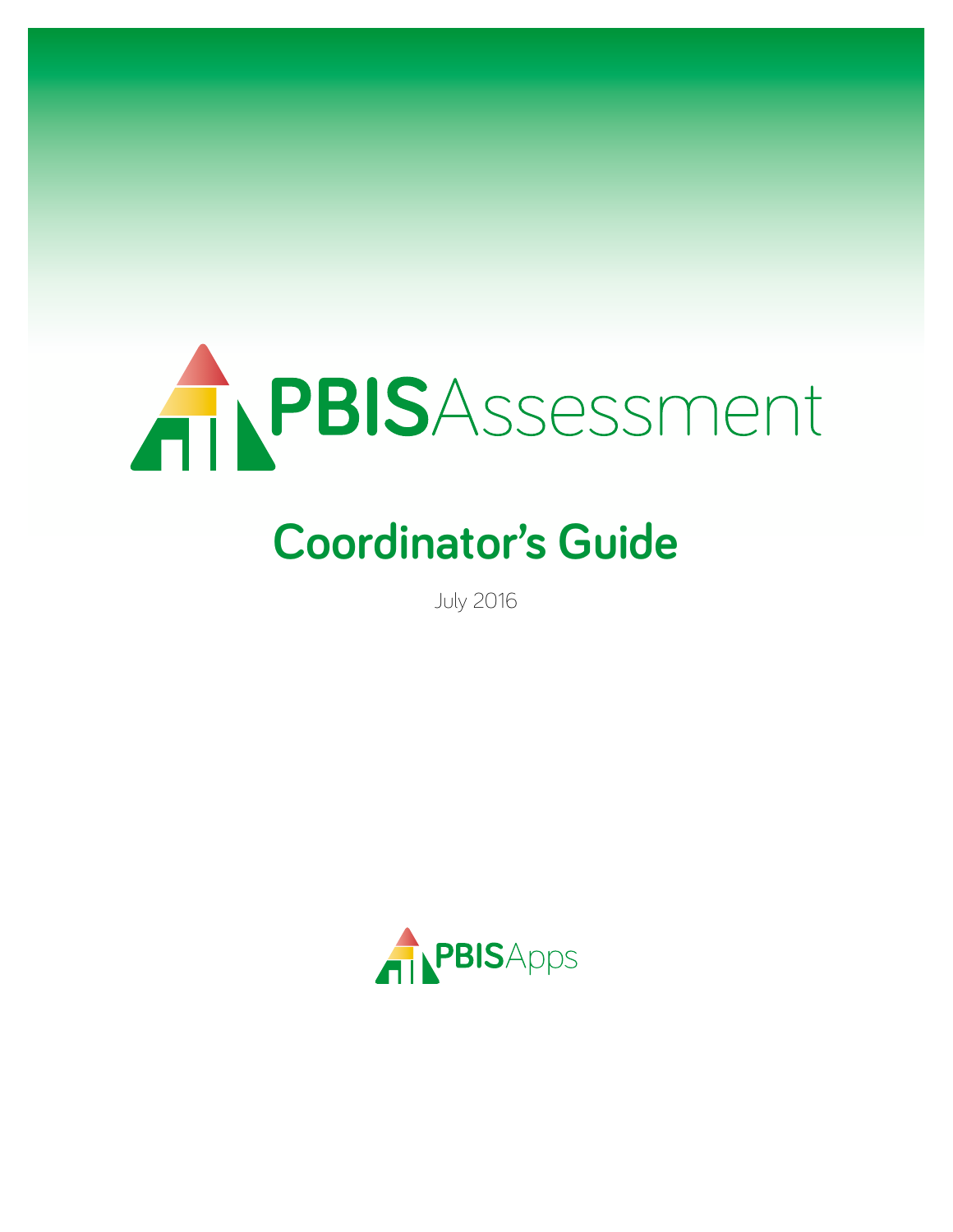

# **Coordinator's Guide**

July 2016

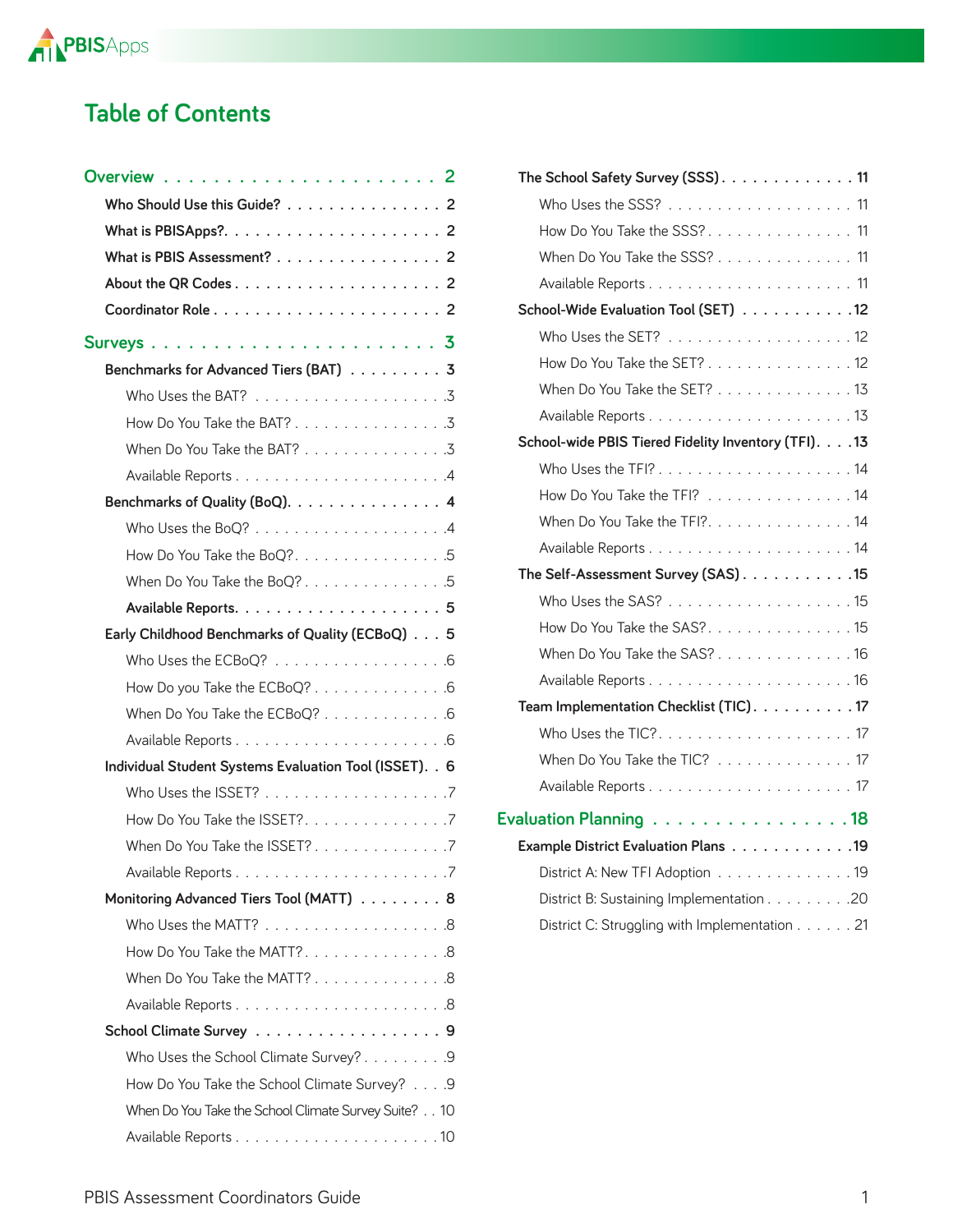

### **Table of Contents**

| Who Should Use this Guide? 2                                      |  |
|-------------------------------------------------------------------|--|
|                                                                   |  |
| What is PBIS Assessment? 2                                        |  |
|                                                                   |  |
|                                                                   |  |
| Surveys $\ldots \ldots \ldots \ldots \ldots \ldots \ldots \ldots$ |  |
| Benchmarks for Advanced Tiers (BAT) 3                             |  |
|                                                                   |  |
| How Do You Take the BAT? 3                                        |  |
| When Do You Take the BAT? 3                                       |  |
|                                                                   |  |
| Benchmarks of Quality (BoQ). 4                                    |  |
|                                                                   |  |
| How Do You Take the BoQ?. 5                                       |  |
| When Do You Take the BoQ? 5                                       |  |
|                                                                   |  |
| Early Childhood Benchmarks of Quality (ECBoQ) 5                   |  |
| Who Uses the ECBoQ? 6                                             |  |
| How Do you Take the ECBoQ? 6                                      |  |
| When Do You Take the ECBoQ? 6                                     |  |
|                                                                   |  |
| Individual Student Systems Evaluation Tool (ISSET). . 6           |  |
|                                                                   |  |
| How Do You Take the ISSET?. 7                                     |  |
| When Do You Take the ISSET?7                                      |  |
|                                                                   |  |
| Monitoring Advanced Tiers Tool (MATT) 8                           |  |
|                                                                   |  |
| How Do You Take the MATT?. 8                                      |  |
| When Do You Take the MATT? 8                                      |  |
|                                                                   |  |
| School Climate Survey 9                                           |  |
| Who Uses the School Climate Survey?9                              |  |
| How Do You Take the School Climate Survey? 9                      |  |
| When Do You Take the School Climate Survey Suite? 10              |  |
|                                                                   |  |

| The School Safety Survey (SSS). 11                   |  |
|------------------------------------------------------|--|
|                                                      |  |
| How Do You Take the SSS?. 11                         |  |
| When Do You Take the SSS? 11                         |  |
|                                                      |  |
|                                                      |  |
| School-Wide Evaluation Tool (SET) 12                 |  |
|                                                      |  |
| How Do You Take the SET? 12                          |  |
| When Do You Take the SET? 13                         |  |
|                                                      |  |
| School-wide PBIS Tiered Fidelity Inventory (TFI). 13 |  |
|                                                      |  |
| How Do You Take the TFI? 14                          |  |
| When Do You Take the TFI?. 14                        |  |
|                                                      |  |
| The Self-Assessment Survey (SAS) 15                  |  |
|                                                      |  |
| How Do You Take the SAS?. 15                         |  |
| When Do You Take the SAS? 16                         |  |
|                                                      |  |
| Team Implementation Checklist (TIC). 17              |  |
|                                                      |  |
| When Do You Take the TIC? 17                         |  |
|                                                      |  |
|                                                      |  |
| Evaluation Planning 18                               |  |
| Example District Evaluation Plans 19                 |  |
| District A: New TFI Adoption 19                      |  |

District B: Sustaining Implementation . . . . . . . . . 20 District C: Struggling with Implementation . . . . . . 21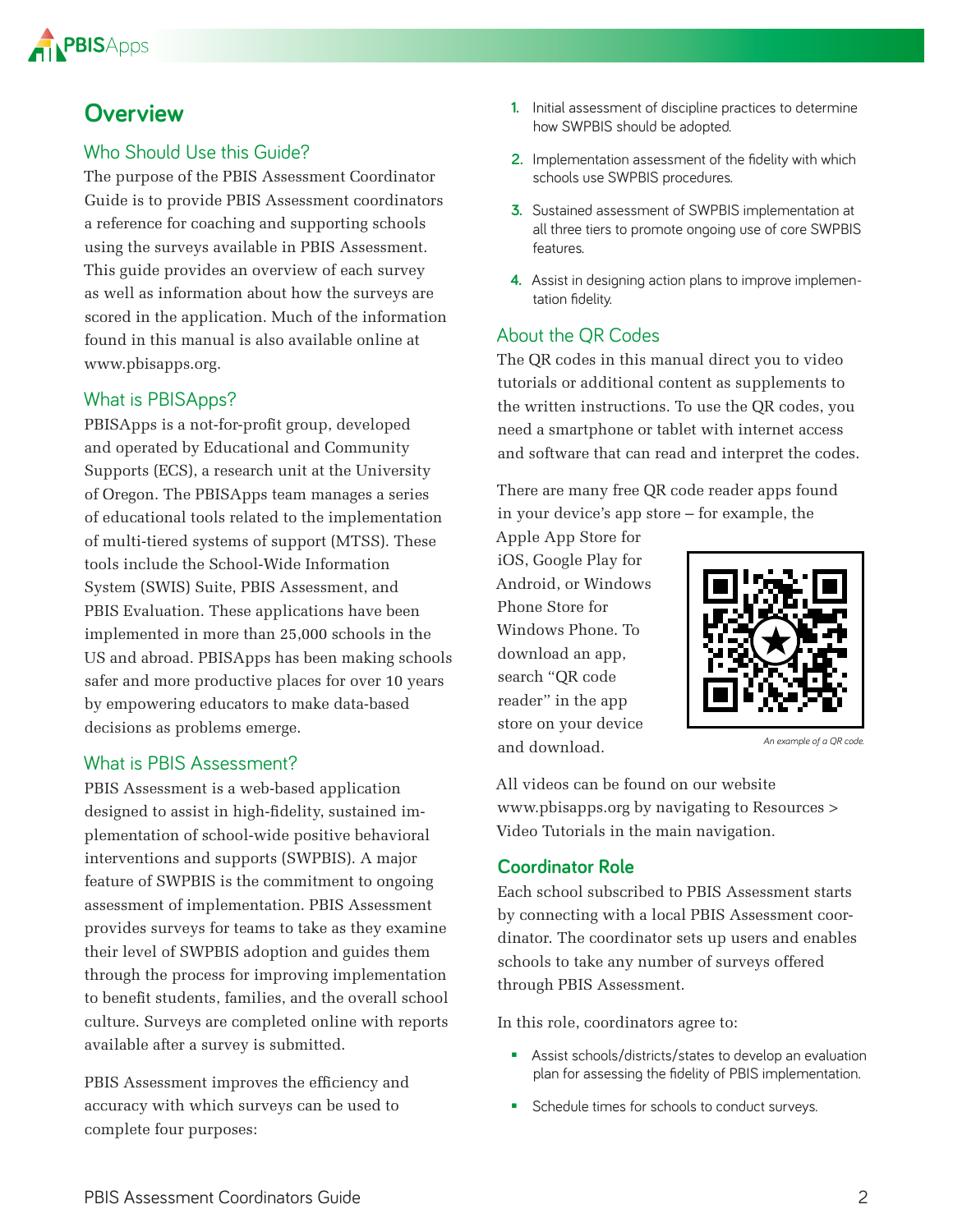

### **Overview**

#### Who Should Use this Guide?

The purpose of the PBIS Assessment Coordinator Guide is to provide PBIS Assessment coordinators a reference for coaching and supporting schools using the surveys available in PBIS Assessment. This guide provides an overview of each survey as well as information about how the surveys are scored in the application. Much of the information found in this manual is also available online at [www.pbisapps.org.](http://www.pbisapps.org)

#### What is PBISApps?

PBISApps is a not-for-profit group, developed and operated by Educational and Community Supports (ECS), a research unit at the University of Oregon. The PBISApps team manages a series of educational tools related to the implementation of multi-tiered systems of support (MTSS). These tools include the School-Wide Information System (SWIS) Suite, PBIS Assessment, and PBIS Evaluation. These applications have been implemented in more than 25,000 schools in the US and abroad. PBISApps has been making schools safer and more productive places for over 10 years by empowering educators to make data-based decisions as problems emerge.

#### What is PBIS Assessment?

PBIS Assessment is a web-based application designed to assist in high-fidelity, sustained implementation of school-wide positive behavioral interventions and supports (SWPBIS). A major feature of SWPBIS is the commitment to ongoing assessment of implementation. PBIS Assessment provides surveys for teams to take as they examine their level of SWPBIS adoption and guides them through the process for improving implementation to benefit students, families, and the overall school culture. Surveys are completed online with reports available after a survey is submitted.

PBIS Assessment improves the efficiency and accuracy with which surveys can be used to complete four purposes:

- **1.** Initial assessment of discipline practices to determine how SWPBIS should be adopted
- **2.** Implementation assessment of the fidelity with which schools use SWPBIS procedures
- **3.** Sustained assessment of SWPBIS implementation at all three tiers to promote ongoing use of core SWPBIS features
- **4.** Assist in designing action plans to improve implementation fidelity.

#### About the QR Codes

The QR codes in this manual direct you to video tutorials or additional content as supplements to the written instructions. To use the QR codes, you need a smartphone or tablet with internet access and software that can read and interpret the codes.

There are many free QR code reader apps found in your device's app store – for example, the

Apple App Store for iOS, Google Play for Android, or Windows Phone Store for Windows Phone. To download an app, search "QR code reader" in the app store on your device and download.



*An example of a QR code.*

All videos can be found on our website [www.pbisapps.org by](http://www.pbisapps.org) navigating to Resources > Video Tutorials in the main navigation.

#### **Coordinator Role**

Each school subscribed to PBIS Assessment starts by connecting with a local PBIS Assessment coordinator. The coordinator sets up users and enables schools to take any number of surveys offered through PBIS Assessment.

In this role, coordinators agree to:

- Assist schools/districts/states to develop an evaluation plan for assessing the fidelity of PBIS implementation
- Schedule times for schools to conduct surveys.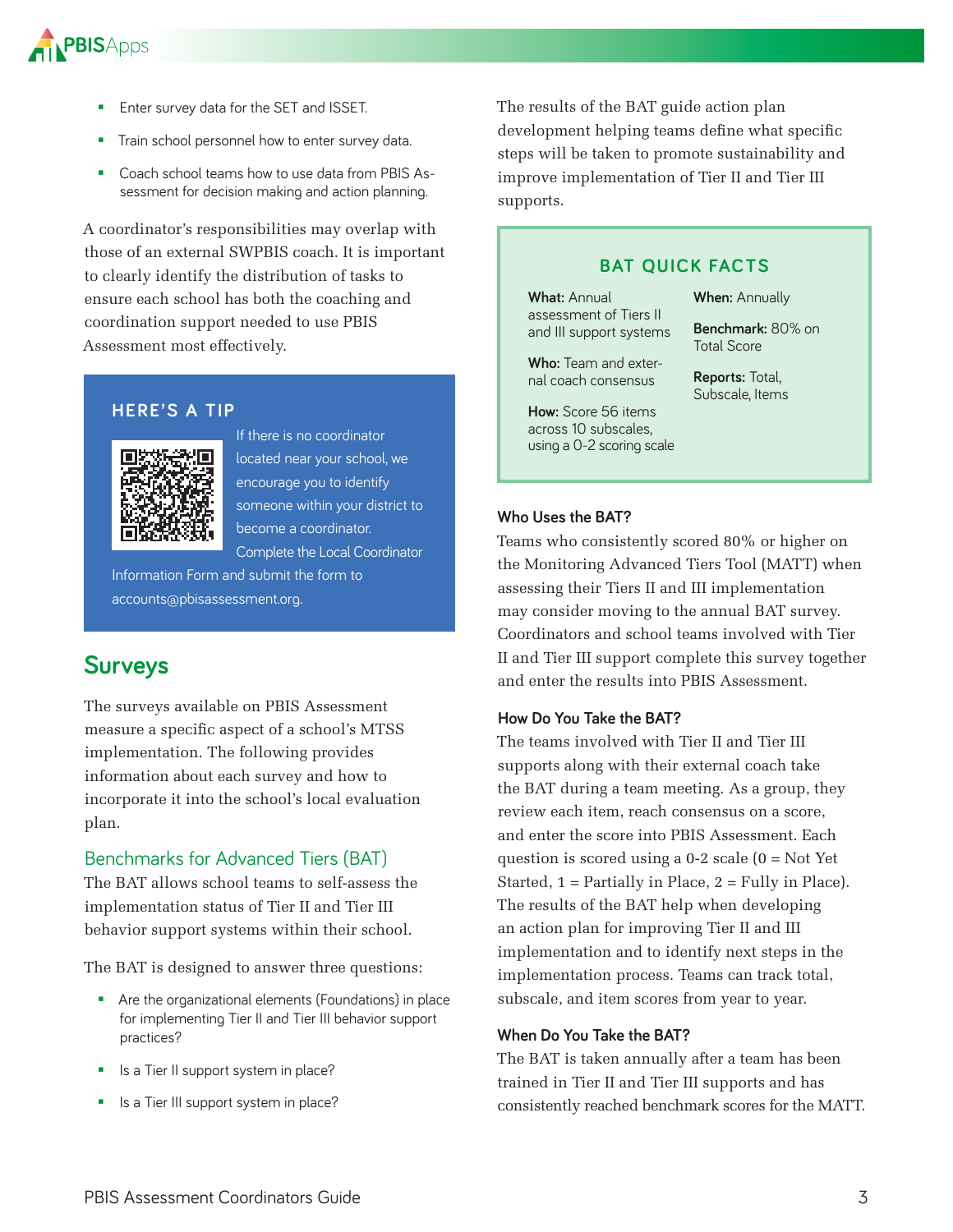

- **Enter survey data for the SET and ISSET.**
- Train school personnel how to enter survey data
- **EXECOACH** School teams how to use data from PBIS Assessment for decision making and action planning.

A coordinator's responsibilities may overlap with those of an external SWPBIS coach. It is important to clearly identify the distribution of tasks to ensure each school has both the coaching and coordination support needed to use PBIS Assessment most effectively.

#### **HERE'S A TIP**



If there is no coordinator located near your school, we encourage you to identify someone within your district to become a coordinator Complete the Local Coordinator

Information Form and submit the form to accounts@pbisassessment.org.

### **Surveys**

The surveys available on PBIS Assessment measure a specific aspect of a school's MTSS implementation. The following provides information about each survey and how to incorporate it into the school's local evaluation plan.

#### Benchmarks for Advanced Tiers (BAT)

The BAT allows school teams to self-assess the implementation status of Tier II and Tier III behavior support systems within their school.

The BAT is designed to answer three questions:

- **Are the organizational elements (Foundations) in place** for implementing Tier II and Tier III behavior support practices?
- Is a Tier II support system in place?
- Is a Tier III support system in place?

The results of the BAT guide action plan development helping teams define what specific steps will be taken to promote sustainability and improve implementation of Tier II and Tier III supports.

#### **BAT QUICK FACTS**

**What:** Annual assessment of Tiers II and III support systems **When:** Annually

**Benchmark:** 80% on

Who: Team and exter-Total Score

> **Reports:** Total, Subscale, Items

**How:** Score 56 items across 10 subscales, using a 0-2 scoring scale

nal coach consensus

#### **Who Uses the BAT?**

Teams who consistently scored 80% or higher on the Monitoring Advanced Tiers Tool (MATT) when assessing their Tiers II and III implementation may consider moving to the annual BAT survey. Coordinators and school teams involved with Tier II and Tier III support complete this survey together and enter the results into PBIS Assessment.

#### **How Do You Take the BAT?**

The teams involved with Tier II and Tier III supports along with their external coach take the BAT during a team meeting. As a group, they review each item, reach consensus on a score, and enter the score into PBIS Assessment. Each question is scored using a  $0-2$  scale  $(0 = Not$  Yet Started,  $1$  = Partially in Place,  $2$  = Fully in Place). The results of the BAT help when developing an action plan for improving Tier II and III implementation and to identify next steps in the implementation process. Teams can track total, subscale, and item scores from year to year.

#### **When Do You Take the BAT?**

The BAT is taken annually after a team has been trained in Tier II and Tier III supports and has consistently reached benchmark scores for the MATT.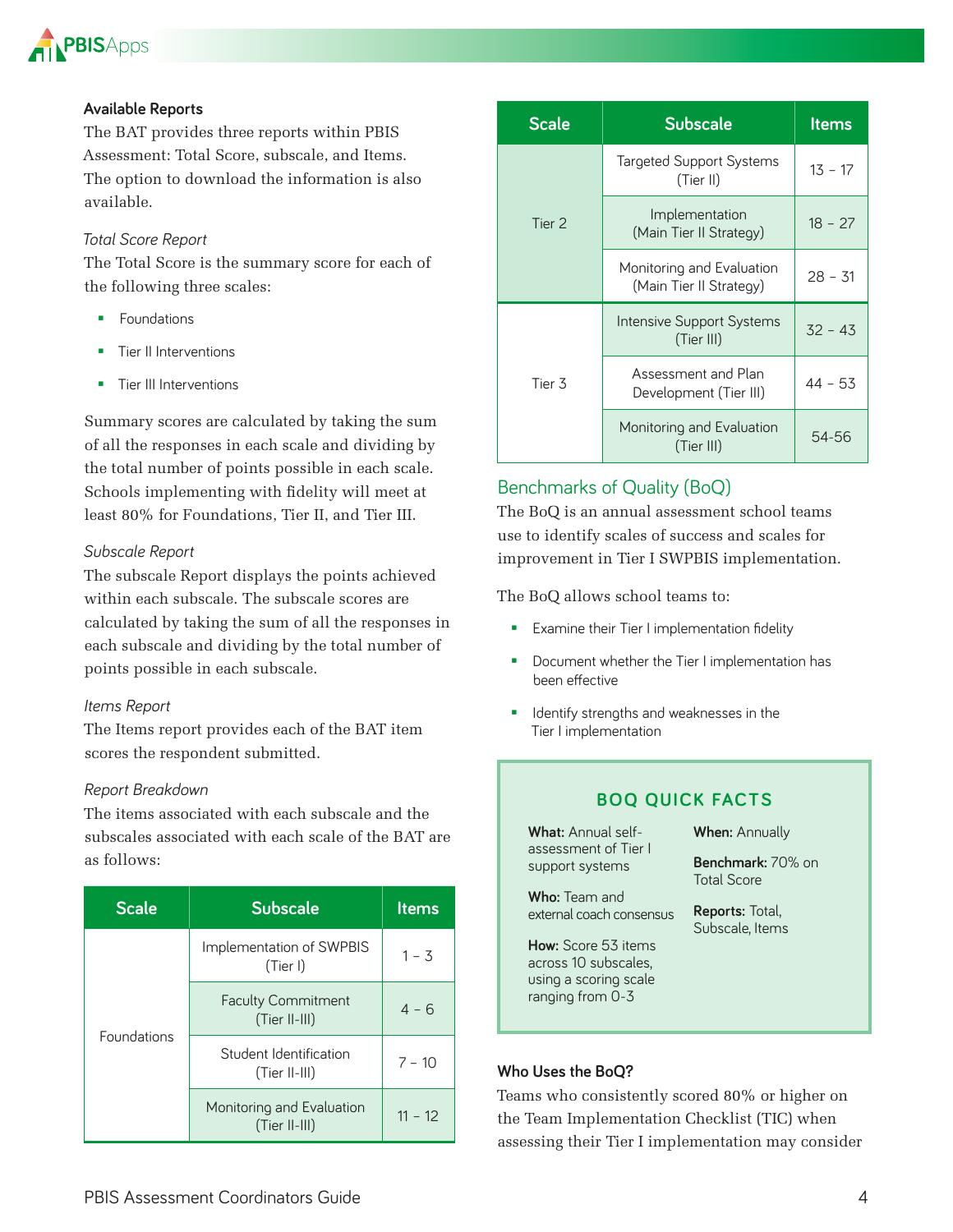

#### **Available Reports**

The BAT provides three reports within PBIS Assessment: Total Score, subscale, and Items. The option to download the information is also available.

#### *Total Score Report*

The Total Score is the summary score for each of the following three scales:

- **Foundations**
- Tier II Interventions
- Tier III Interventions

Summary scores are calculated by taking the sum of all the responses in each scale and dividing by the total number of points possible in each scale. Schools implementing with fidelity will meet at least 80% for Foundations, Tier II, and Tier III.

#### *Subscale Report*

The subscale Report displays the points achieved within each subscale. The subscale scores are calculated by taking the sum of all the responses in each subscale and dividing by the total number of points possible in each subscale.

#### *Items Report*

The Items report provides each of the BAT item scores the respondent submitted.

#### *Report Breakdown*

The items associated with each subscale and the subscales associated with each scale of the BAT are as follows:

| <b>Scale</b> | <b>Subscale</b>                              | <b>Items</b> |
|--------------|----------------------------------------------|--------------|
| Foundations  | Implementation of SWPBIS<br>(Tier I)         | $1 - 3$      |
|              | <b>Faculty Commitment</b><br>$(Tier II-III)$ | $4 - 6$      |
|              | Student Identification<br>(Tier II-III)      | $7 - 10$     |
|              | Monitoring and Evaluation<br>(Tier II-III)   | $11 - 12$    |

| <b>Scale</b>      | <b>Subscale</b>                                      | ltems     |
|-------------------|------------------------------------------------------|-----------|
| Tier <sub>2</sub> | Targeted Support Systems<br>(Tier II)                | $13 - 17$ |
|                   | Implementation<br>(Main Tier II Strategy)            | $18 - 27$ |
|                   | Monitoring and Evaluation<br>(Main Tier II Strategy) | $28 - 31$ |
| Tier 3            | Intensive Support Systems<br>(Tier III)              | $32 - 43$ |
|                   | Assessment and Plan<br>Development (Tier III)        | $44 - 53$ |
|                   | Monitoring and Evaluation<br>(Tier III)              | 54-56     |

#### Benchmarks of Quality (BoQ)

The BoQ is an annual assessment school teams use to identify scales of success and scales for improvement in Tier I SWPBIS implementation.

The BoQ allows school teams to:

- **Examine their Tier I implementation fidelity**
- Document whether the Tier I implementation has been effective
- **IDENTIFY** strengths and weaknesses in the Tier I implementation

#### **BOQ QUICK FACTS**

| <b>What:</b> Annual self-<br>assessment of Tier I | <b>When: Annually</b>                     |
|---------------------------------------------------|-------------------------------------------|
| support systems                                   | Benchmark: 70% on<br><b>Total Score</b>   |
| <b>Who:</b> Team and                              |                                           |
| external coach consensus                          | <b>Reports: Total,</b><br>Subscale, Items |
| <b>How:</b> Score 53 items                        |                                           |
| across 10 subscales.                              |                                           |
| using a scoring scale<br>ranging from 0-3         |                                           |

#### **Who Uses the BoQ?**

Teams who consistently scored 80% or higher on the Team Implementation Checklist (TIC) when assessing their Tier I implementation may consider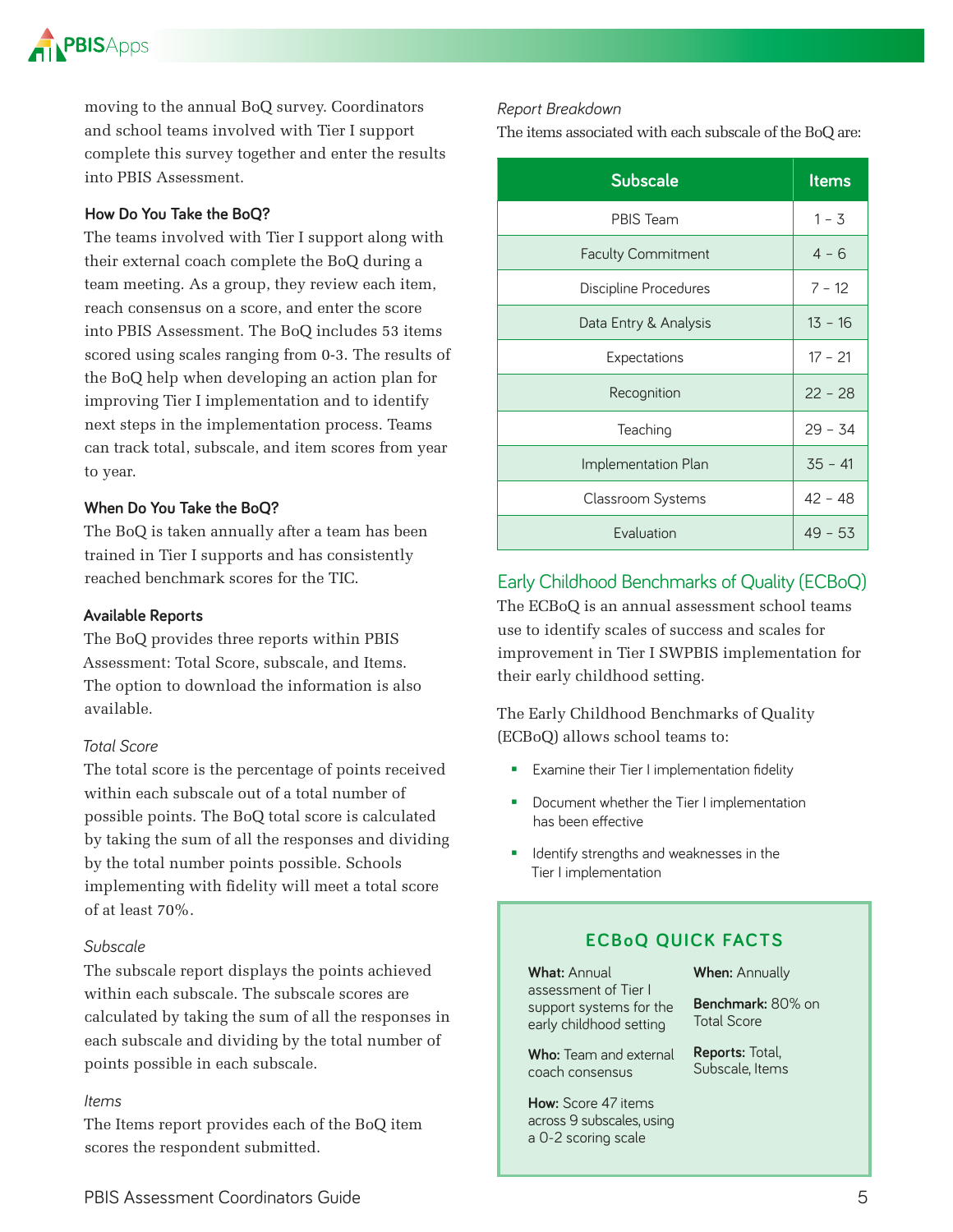

moving to the annual BoQ survey. Coordinators and school teams involved with Tier I support complete this survey together and enter the results into PBIS Assessment.

#### **How Do You Take the BoQ?**

The teams involved with Tier I support along with their external coach complete the BoQ during a team meeting. As a group, they review each item, reach consensus on a score, and enter the score into PBIS Assessment. The BoQ includes 53 items scored using scales ranging from 0-3. The results of the BoQ help when developing an action plan for improving Tier I implementation and to identify next steps in the implementation process. Teams can track total, subscale, and item scores from year to year.

#### **When Do You Take the BoQ?**

The BoQ is taken annually after a team has been trained in Tier I supports and has consistently reached benchmark scores for the TIC.

#### **Available Reports**

The BoQ provides three reports within PBIS Assessment: Total Score, subscale, and Items. The option to download the information is also available.

#### *Total Score*

The total score is the percentage of points received within each subscale out of a total number of possible points. The BoQ total score is calculated by taking the sum of all the responses and dividing by the total number points possible. Schools implementing with fidelity will meet a total score of at least 70%.

#### *Subscale*

The subscale report displays the points achieved within each subscale. The subscale scores are calculated by taking the sum of all the responses in each subscale and dividing by the total number of points possible in each subscale.

#### *Items*

The Items report provides each of the BoQ item scores the respondent submitted.

#### *Report Breakdown*

The items associated with each subscale of the BoQ are:

| <b>Subscale</b>           | <b>Items</b> |
|---------------------------|--------------|
| <b>PBIS Team</b>          | $1 - 3$      |
| <b>Faculty Commitment</b> | $4 - 6$      |
| Discipline Procedures     | $7 - 12$     |
| Data Entry & Analysis     | $13 - 16$    |
| Expectations              | $17 - 21$    |
| Recognition               | $22 - 28$    |
| Teaching                  | $29 - 34$    |
| Implementation Plan       | $35 - 41$    |
| Classroom Systems         | $42 - 48$    |
| Evaluation                | $49 - 53$    |

#### Early Childhood Benchmarks of Quality (ECBoQ)

The ECBoQ is an annual assessment school teams use to identify scales of success and scales for improvement in Tier I SWPBIS implementation for their early childhood setting.

The Early Childhood Benchmarks of Quality (ECBoQ) allows school teams to:

- **Examine their Tier I implementation fidelity**
- Document whether the Tier I implementation has been effective
- **IDENTIFY Strengths and weaknesses in the** Tier I implementation

#### **ECBoQ QUICK FACTS**

**What:** Annual assessment of Tier I support systems for the early childhood setting

**Who:** Team and external coach consensus

**How:** Score 47 items across 9 subscales, using a 0-2 scoring scale

**When:** Annually

**Benchmark:** 80% on Total Score

**Reports:** Total, Subscale, Items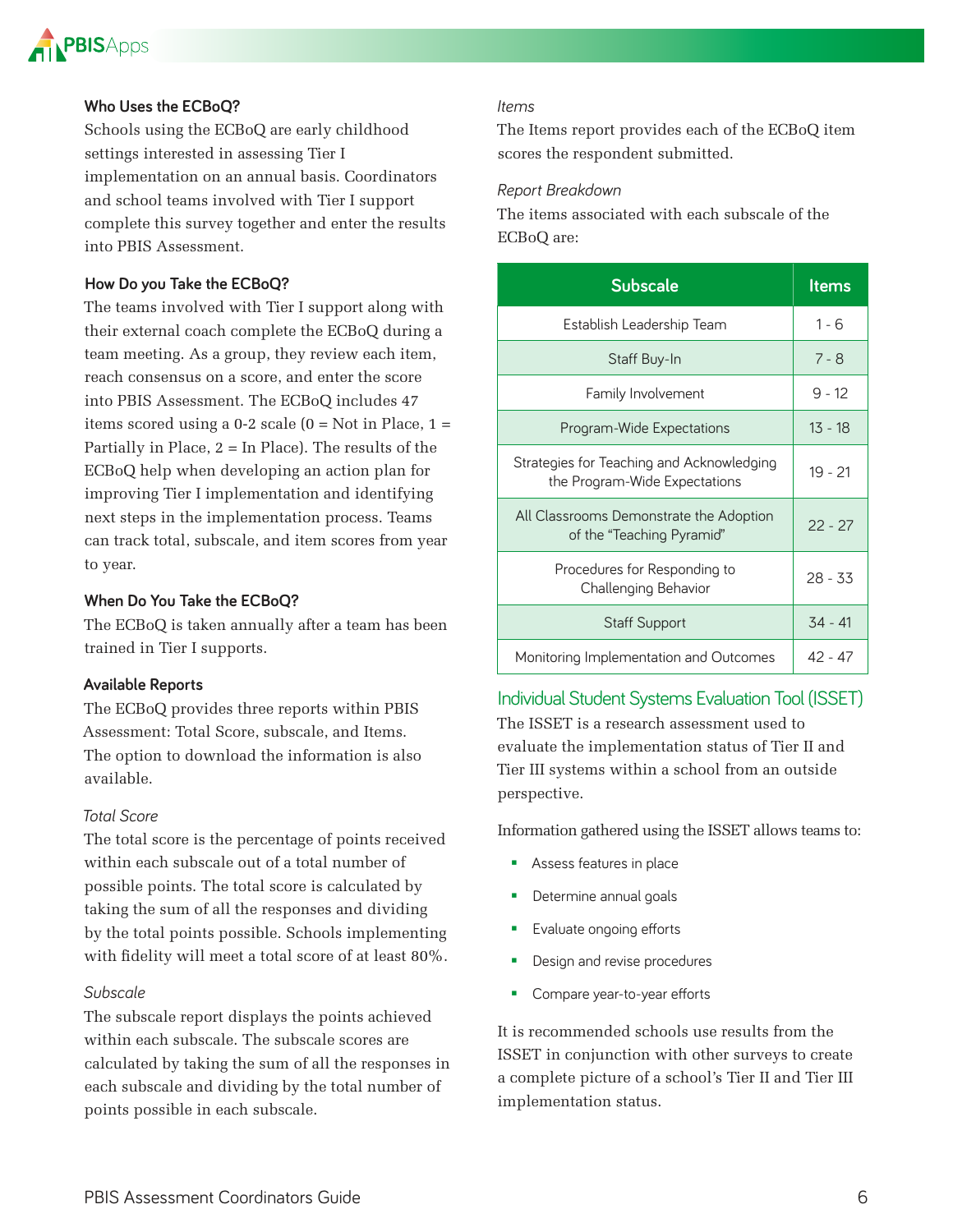

#### **Who Uses the ECBoQ?**

Schools using the ECBoQ are early childhood settings interested in assessing Tier I implementation on an annual basis. Coordinators and school teams involved with Tier I support complete this survey together and enter the results into PBIS Assessment.

#### **How Do you Take the ECBoQ?**

The teams involved with Tier I support along with their external coach complete the ECBoQ during a team meeting. As a group, they review each item, reach consensus on a score, and enter the score into PBIS Assessment. The ECBoQ includes 47 items scored using a  $0-2$  scale  $(0 = Not in Place, 1 =$ Partially in Place,  $2 = \text{In Place}$ . The results of the ECBoQ help when developing an action plan for improving Tier I implementation and identifying next steps in the implementation process. Teams can track total, subscale, and item scores from year to year.

#### **When Do You Take the ECBoQ?**

The ECBoQ is taken annually after a team has been trained in Tier I supports.

#### **Available Reports**

The ECBoQ provides three reports within PBIS Assessment: Total Score, subscale, and Items. The option to download the information is also available.

#### *Total Score*

The total score is the percentage of points received within each subscale out of a total number of possible points. The total score is calculated by taking the sum of all the responses and dividing by the total points possible. Schools implementing with fidelity will meet a total score of at least 80%.

#### *Subscale*

The subscale report displays the points achieved within each subscale. The subscale scores are calculated by taking the sum of all the responses in each subscale and dividing by the total number of points possible in each subscale.

#### *Items*

The Items report provides each of the ECBoQ item scores the respondent submitted.

#### *Report Breakdown*

The items associated with each subscale of the ECBoQ are:

| Subscale                                                                   | <b>Items</b> |
|----------------------------------------------------------------------------|--------------|
| Establish Leadership Team                                                  | $1 - 6$      |
| Staff Buy-In                                                               | $7 - 8$      |
| Family Involvement                                                         | $9 - 12$     |
| Program-Wide Expectations                                                  | 13 - 18      |
| Strategies for Teaching and Acknowledging<br>the Program-Wide Expectations | $19 - 21$    |
| All Classrooms Demonstrate the Adoption<br>of the "Teaching Pyramid"       | $22 - 27$    |
| Procedures for Responding to<br>Challenging Behavior                       | $28 - 33$    |
| <b>Staff Support</b>                                                       | $34 - 41$    |
| Monitoring Implementation and Outcomes                                     | $42 - 47$    |

#### Individual Student Systems Evaluation Tool (ISSET)

The ISSET is a research assessment used to evaluate the implementation status of Tier II and Tier III systems within a school from an outside perspective.

Information gathered using the ISSET allows teams to:

- **Assess features in place**
- **Determine annual goals**
- **Exaluate ongoing efforts**
- **Design and revise procedures**
- **Compare year-to-year efforts**

It is recommended schools use results from the ISSET in conjunction with other surveys to create a complete picture of a school's Tier II and Tier III implementation status.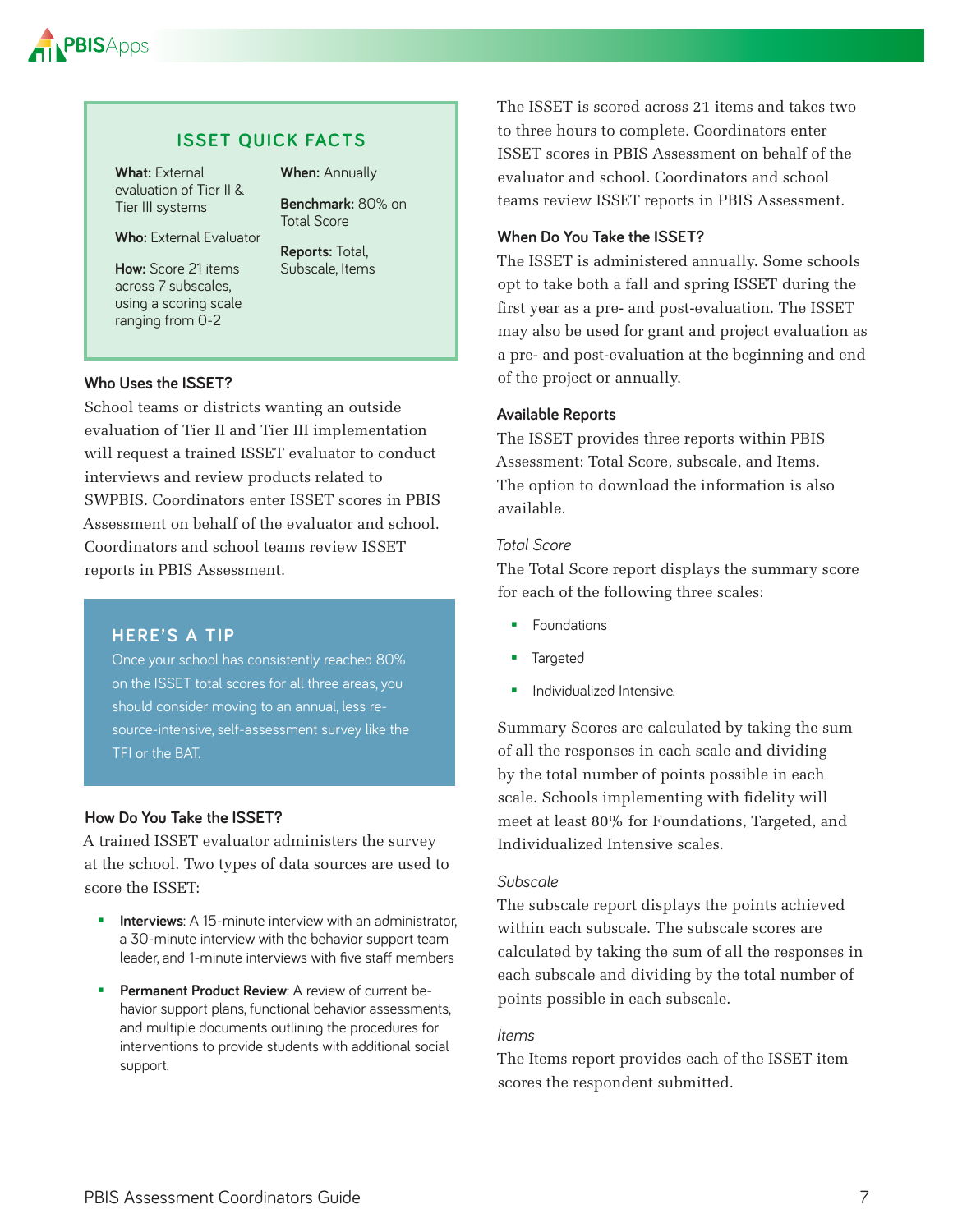

#### **ISSET QUICK FACTS**

**What:** External evaluation of Tier II & Tier III systems

**When:** Annually

**Benchmark:** 80% on

**Who:** External Evaluator

**How:** Score 21 items across 7 subscales, using a scoring scale ranging from 0-2

**Reports:** Total, Subscale, Items

Total Score

#### **Who Uses the ISSET?**

School teams or districts wanting an outside evaluation of Tier II and Tier III implementation will request a trained ISSET evaluator to conduct interviews and review products related to SWPBIS. Coordinators enter ISSET scores in PBIS Assessment on behalf of the evaluator and school. Coordinators and school teams review ISSET reports in PBIS Assessment.

#### **HERE'S A TIP**

Once your school has consistently reached 80% on the ISSET total scores for all three areas, you should consider moving to an annual, less resource-intensive, self-assessment survey like the TFI or the BAT

#### **How Do You Take the ISSET?**

A trained ISSET evaluator administers the survey at the school. Two types of data sources are used to score the ISSET:

- **Interviews:** A 15-minute interview with an administrator, a 30-minute interview with the behavior support team leader, and 1-minute interviews with five staff members
- **Permanent Product Review:** A review of current behavior support plans, functional behavior assessments, and multiple documents outlining the procedures for interventions to provide students with additional social support

The ISSET is scored across 21 items and takes two to three hours to complete. Coordinators enter ISSET scores in PBIS Assessment on behalf of the evaluator and school. Coordinators and school teams review ISSET reports in PBIS Assessment.

#### **When Do You Take the ISSET?**

The ISSET is administered annually. Some schools opt to take both a fall and spring ISSET during the first year as a pre- and post-evaluation. The ISSET may also be used for grant and project evaluation as a pre- and post-evaluation at the beginning and end of the project or annually.

#### **Available Reports**

The ISSET provides three reports within PBIS Assessment: Total Score, subscale, and Items. The option to download the information is also available.

#### *Total Score*

The Total Score report displays the summary score for each of the following three scales:

- **Foundations**
- Targeted
- **Individualized Intensive**

Summary Scores are calculated by taking the sum of all the responses in each scale and dividing by the total number of points possible in each scale. Schools implementing with fidelity will meet at least 80% for Foundations, Targeted, and Individualized Intensive scales.

#### *Subscale*

The subscale report displays the points achieved within each subscale. The subscale scores are calculated by taking the sum of all the responses in each subscale and dividing by the total number of points possible in each subscale.

#### *Items*

The Items report provides each of the ISSET item scores the respondent submitted.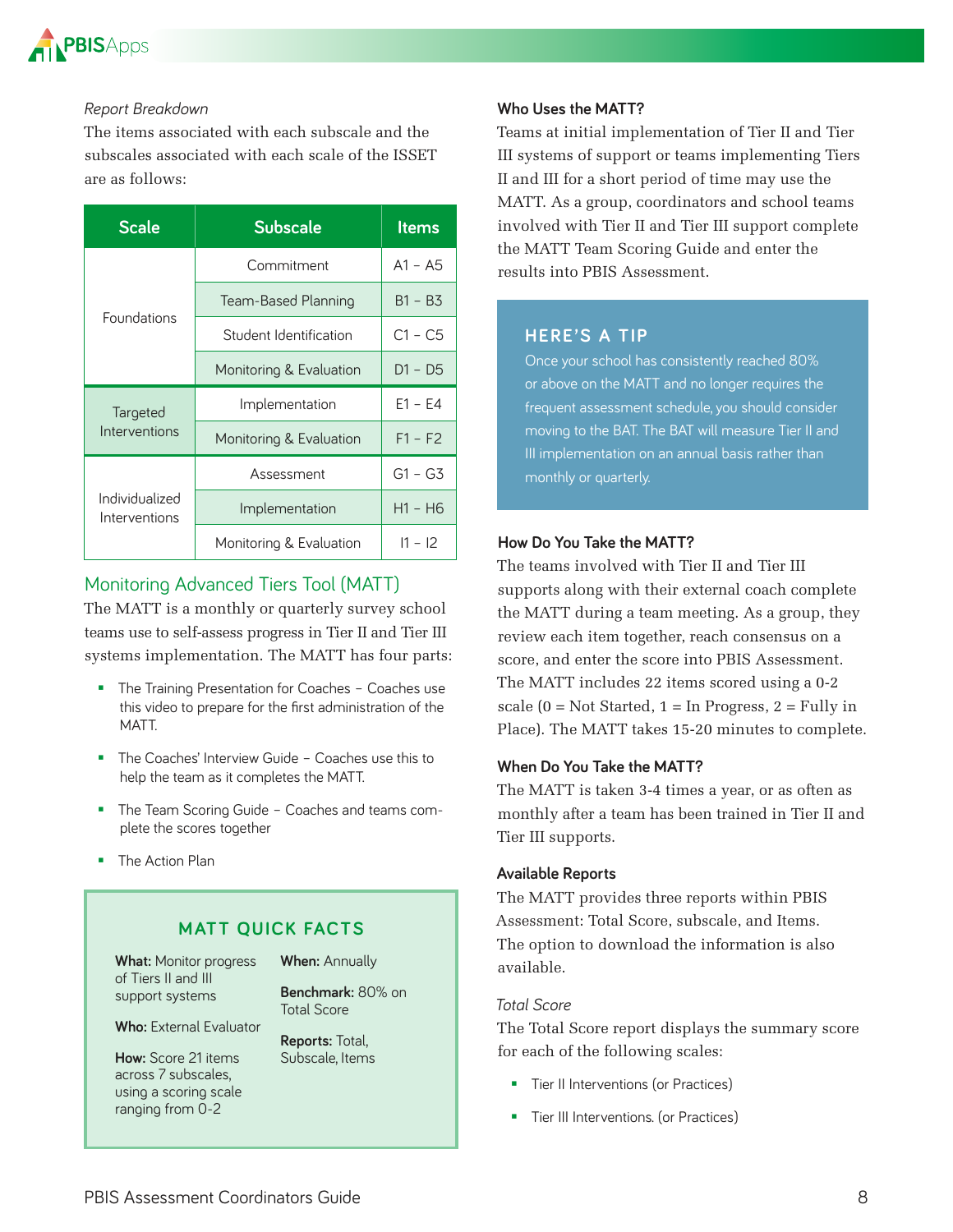

#### *Report Breakdown*

The items associated with each subscale and the subscales associated with each scale of the ISSET are as follows:

| <b>Scale</b>                    | <b>Subscale</b>         | <b>Items</b> |
|---------------------------------|-------------------------|--------------|
| Foundations                     | Commitment              | $A1 - A5$    |
|                                 | Team-Based Planning     | $B1 - B3$    |
|                                 | Student Identification  | $C1 - C5$    |
|                                 | Monitoring & Evaluation | $D1 - D5$    |
| Targeted<br>Interventions       | Implementation          | $E1 - E4$    |
|                                 | Monitoring & Evaluation | $F1 - F2$    |
| Individualized<br>Interventions | Assessment              | $G1 - G3$    |
|                                 | Implementation          | $H1 - H6$    |
|                                 | Monitoring & Evaluation | $11 - 12$    |

### Monitoring Advanced Tiers Tool (MATT)

The MATT is a monthly or quarterly survey school teams use to self-assess progress in Tier II and Tier III systems implementation. The MATT has four parts:

- **The Training Presentation for Coaches Coaches use** this video to prepare for the first administration of the MATT.
- The Coaches' Interview Guide Coaches use this to help the team as it completes the MATT
- **The Team Scoring Guide Coaches and teams com**plete the scores together
- **The Action Plan**

#### **MATT QUICK FACTS**

**What:** Monitor progress of Tiers II and III support systems

**When:** Annually

**Benchmark:** 80% on Total Score

**Who:** External Evaluator

**How:** Score 21 items across 7 subscales, using a scoring scale ranging from 0-2

**Reports:** Total, Subscale, Items

#### **Who Uses the MATT?**

Teams at initial implementation of Tier II and Tier III systems of support or teams implementing Tiers II and III for a short period of time may use the MATT. As a group, coordinators and school teams involved with Tier II and Tier III support complete the MATT Team Scoring Guide and enter the results into PBIS Assessment.

#### **HERE'S A TIP**

Once your school has consistently reached 80% or above on the MATT and no longer requires the frequent assessment schedule, you should consider moving to the BAT The BAT will measure Tier II and III implementation on an annual basis rather than monthly or quarterly

#### **How Do You Take the MATT?**

The teams involved with Tier II and Tier III supports along with their external coach complete the MATT during a team meeting. As a group, they review each item together, reach consensus on a score, and enter the score into PBIS Assessment. The MATT includes 22 items scored using a 0-2 scale  $(0 = Not \; started, 1 = In \; Progress, 2 = Fully \; in$ Place). The MATT takes 15-20 minutes to complete.

#### **When Do You Take the MATT?**

The MATT is taken 3-4 times a year, or as often as monthly after a team has been trained in Tier II and Tier III supports.

#### **Available Reports**

The MATT provides three reports within PBIS Assessment: Total Score, subscale, and Items. The option to download the information is also available.

#### *Total Score*

The Total Score report displays the summary score for each of the following scales:

- **Tier II Interventions (or Practices)**
- **Tier III Interventions. (or Practices)**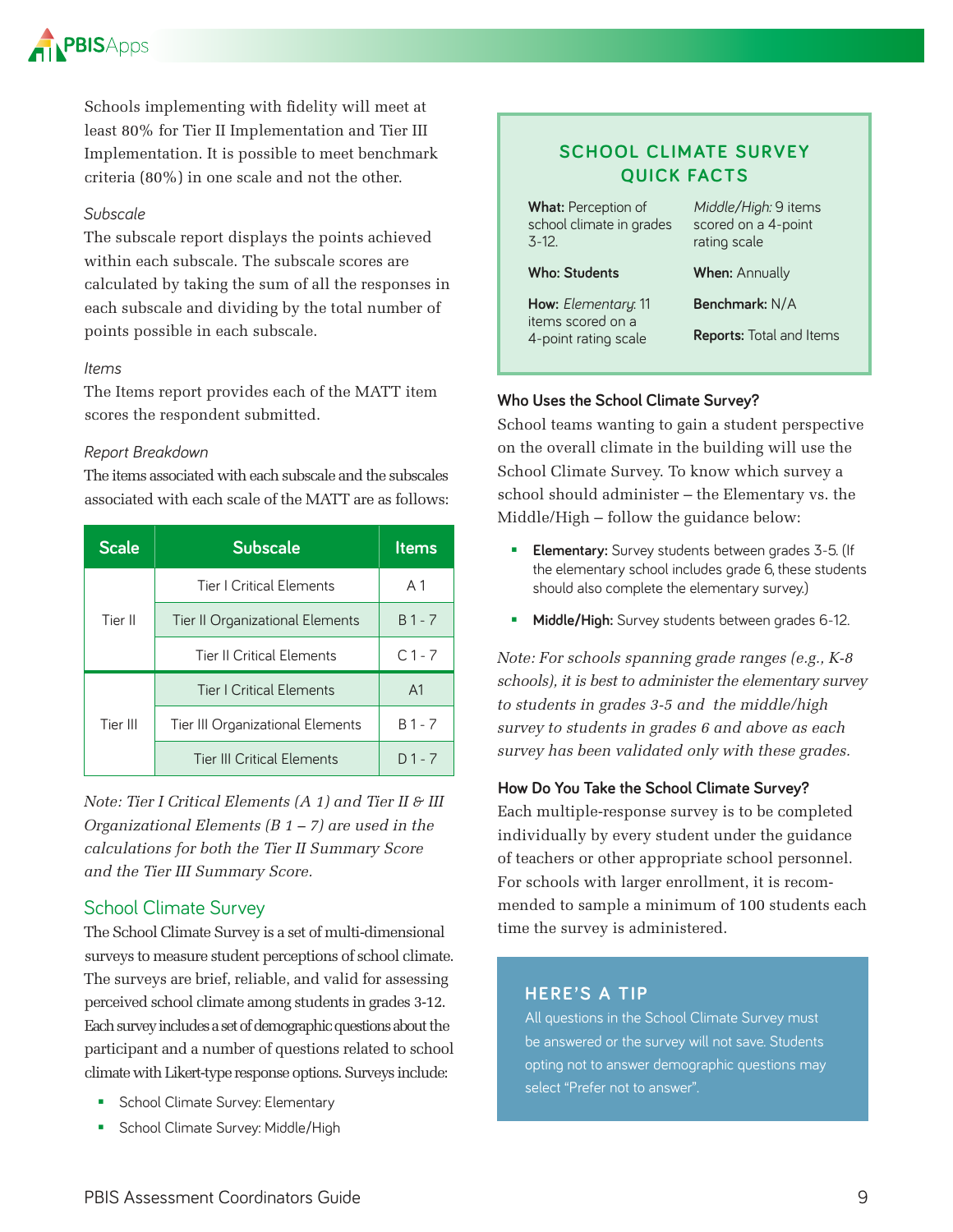

Schools implementing with fidelity will meet at least 80% for Tier II Implementation and Tier III Implementation. It is possible to meet benchmark criteria (80%) in one scale and not the other.

#### *Subscale*

The subscale report displays the points achieved within each subscale. The subscale scores are calculated by taking the sum of all the responses in each subscale and dividing by the total number of points possible in each subscale.

#### *Items*

The Items report provides each of the MATT item scores the respondent submitted.

#### *Report Breakdown*

The items associated with each subscale and the subscales associated with each scale of the MATT are as follows:

| <b>Scale</b> | <b>Subscale</b>                   | <b>Items</b>   |
|--------------|-----------------------------------|----------------|
|              | Tier   Critical Elements          | A 1            |
| Tier II      | Tier II Organizational Elements   | $B1 - 7$       |
|              | <b>Tier II Critical Elements</b>  | $C1 - 7$       |
|              | <b>Tier   Critical Elements</b>   | A <sub>1</sub> |
| Tier III     | Tier III Organizational Elements  | $B1 - 7$       |
|              | <b>Tier III Critical Elements</b> | $D1 - 7$       |

*Note: Tier I Critical Elements (A 1) and Tier II & III Organizational Elements (B 1 – 7) are used in the calculations for both the Tier II Summary Score and the Tier III Summary Score.*

#### School Climate Survey

The School Climate Survey is a set of multi-dimensional surveys to measure student perceptions of school climate. The surveys are brief, reliable, and valid for assessing perceived school climate among students in grades 3-12. Each survey includes a set of demographic questions about the participant and a number of questions related to school climate with Likert-type response options. Surveys include:

- School Climate Survey: Elementary
- **School Climate Survey: Middle/High**

#### **SCHOOL CLIMATE SURVEY QUICK FACTS**

**What: Perception of** school climate in grades 3-12

#### **Who: Students**

**When:** Annually

**How:** *Elementary*: 11 items scored on a 4-point rating scale

**Benchmark:** N/A

*Middle/High:* 9 items scored on a 4-point rating scale

**Reports:** Total and Items

#### **Who Uses the School Climate Survey?**

School teams wanting to gain a student perspective on the overall climate in the building will use the School Climate Survey. To know which survey a school should administer – the Elementary vs. the Middle/High – follow the guidance below:

- **Elementary:** Survey students between grades 3-5. (If the elementary school includes grade 6, these students should also complete the elementary survey.)
- **Middle/High:** Survey students between grades 6-12.

*Note: For schools spanning grade ranges (e.g., K-8 schools), it is best to administer the elementary survey to students in grades 3-5 and the middle/high survey to students in grades 6 and above as each survey has been validated only with these grades.*

#### **How Do You Take the School Climate Survey?**

Each multiple-response survey is to be completed individually by every student under the guidance of teachers or other appropriate school personnel. For schools with larger enrollment, it is recommended to sample a minimum of 100 students each time the survey is administered.

#### **HERE'S A TIP**

All questions in the School Climate Survey must be answered or the survey will not save. Students opting not to answer demographic questions may select "Prefer not to answer"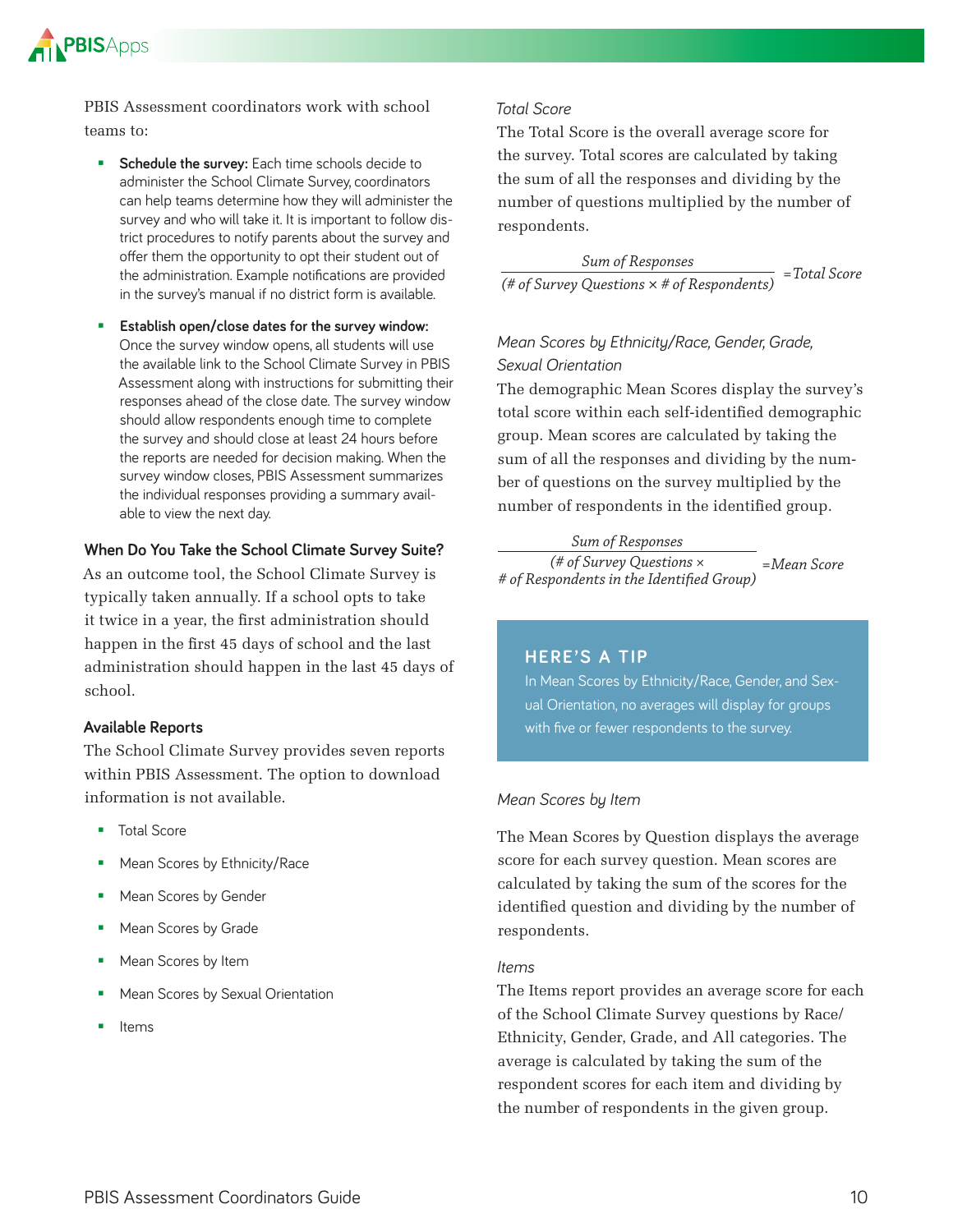

PBIS Assessment coordinators work with school teams to:

- **Schedule the survey:** Each time schools decide to administer the School Climate Survey, coordinators can help teams determine how they will administer the survey and who will take it. It is important to follow district procedures to notify parents about the survey and offer them the opportunity to opt their student out of the administration. Example notifications are provided in the survey's manual if no district form is available
- **Establish open/close dates for the survey window:**  Once the survey window opens, all students will use the available link to the School Climate Survey in PBIS Assessment along with instructions for submitting their responses ahead of the close date. The survey window should allow respondents enough time to complete the survey and should close at least 24 hours before the reports are needed for decision making. When the survey window closes, PBIS Assessment summarizes the individual responses providing a summary available to view the next day

#### **When Do You Take the School Climate Survey Suite?**

As an outcome tool, the School Climate Survey is typically taken annually. If a school opts to take it twice in a year, the first administration should happen in the first 45 days of school and the last administration should happen in the last 45 days of school.

#### **Available Reports**

The School Climate Survey provides seven reports within PBIS Assessment. The option to download information is not available.

- Total Score
- Mean Scores by Ethnicity/Race
- Mean Scores by Gender
- **Mean Scores by Grade**
- **Mean Scores by Item**
- **Mean Scores by Sexual Orientation**
- Items

#### *Total Score*

The Total Score is the overall average score for the survey. Total scores are calculated by taking the sum of all the responses and dividing by the number of questions multiplied by the number of respondents.

*Sum of Responses (# of Survey Questions × # of Respondents) =Total Score*

#### *Mean Scores by Ethnicity/Race, Gender, Grade, Sexual Orientation*

The demographic Mean Scores display the survey's total score within each self-identified demographic group. Mean scores are calculated by taking the sum of all the responses and dividing by the number of questions on the survey multiplied by the number of respondents in the identified group.

#### *Sum of Responses*

*(# of Survey Questions × # of Respondents in the Identified Group) =Mean Score*

#### **HERE'S A TIP**

In Mean Scores by Ethnicity/Race, Gender, and Sexual Orientation, no averages will display for groups with five or fewer respondents to the survey.

#### *Mean Scores by Item*

The Mean Scores by Question displays the average score for each survey question. Mean scores are calculated by taking the sum of the scores for the identified question and dividing by the number of respondents.

#### *Items*

The Items report provides an average score for each of the School Climate Survey questions by Race/ Ethnicity, Gender, Grade, and All categories. The average is calculated by taking the sum of the respondent scores for each item and dividing by the number of respondents in the given group.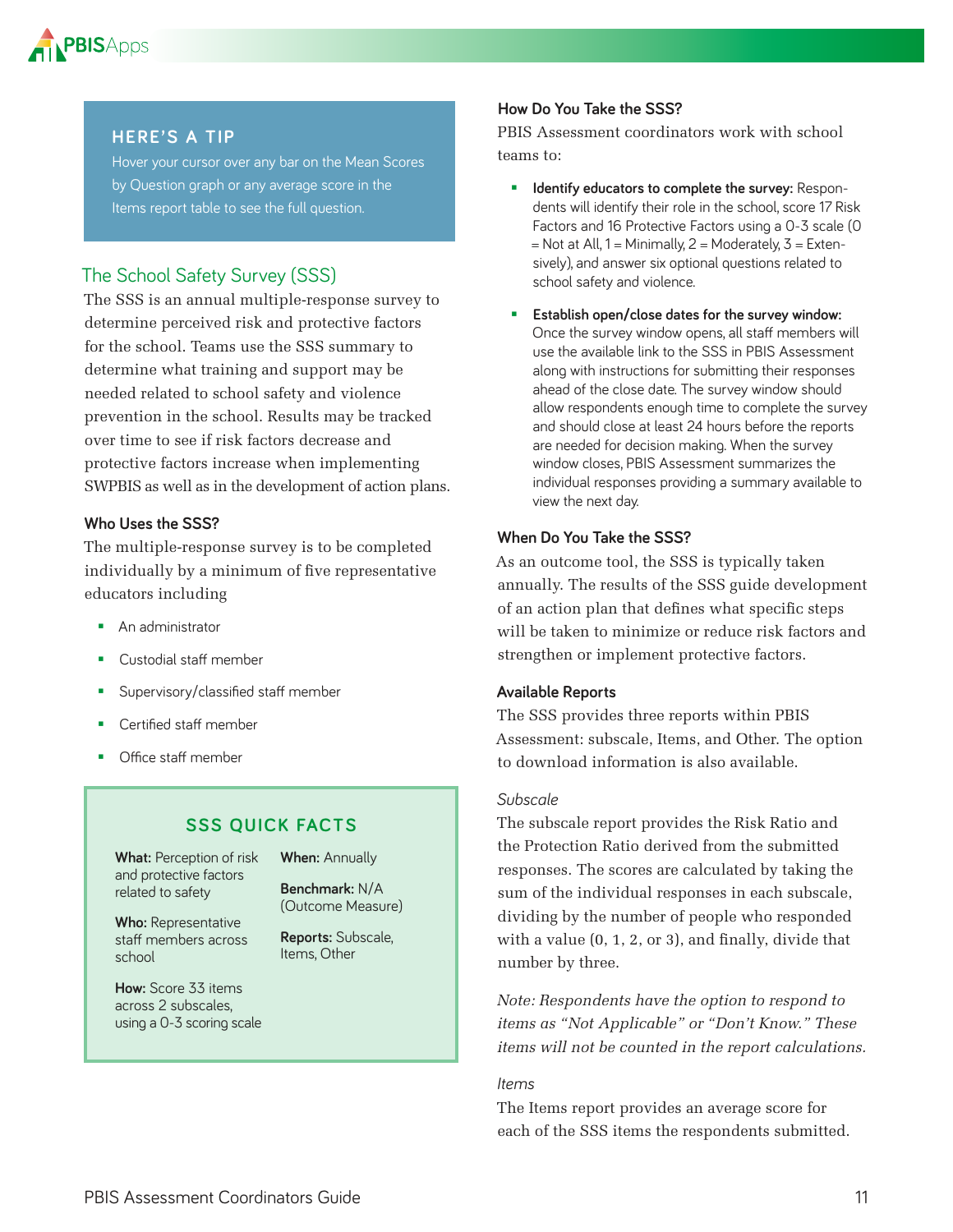

#### **HERE'S A TIP**

Hover your cursor over any bar on the Mean Scores by Question graph or any average score in the Items report table to see the full question.

#### The School Safety Survey (SSS)

The SSS is an annual multiple-response survey to determine perceived risk and protective factors for the school. Teams use the SSS summary to determine what training and support may be needed related to school safety and violence prevention in the school. Results may be tracked over time to see if risk factors decrease and protective factors increase when implementing SWPBIS as well as in the development of action plans.

#### **Who Uses the SSS?**

The multiple-response survey is to be completed individually by a minimum of five representative educators including

- **An administrator**
- Custodial staff member
- **Supervisory/classified staff member**
- Certified staff member
- **•** Office staff member

#### **SSS QUICK FACTS**

**What:** Perception of risk and protective factors related to safety

**When:** Annually

**Benchmark:** N/A (Outcome Measure)

**Reports:** Subscale, Items, Other

**Who:** Representative staff members across school

**How:** Score 33 items across 2 subscales, using a 0-3 scoring scale

#### **How Do You Take the SSS?**

PBIS Assessment coordinators work with school teams to:

- **IDENTIFY EDUCATORS to complete the survey: Respon**dents will identify their role in the school, score 17 Risk Factors and 16 Protective Factors using a 0-3 scale (0  $=$  Not at All, 1 = Minimally, 2 = Moderately, 3 = Extensively), and answer six optional questions related to school safety and violence
- **Establish open/close dates for the survey window:** Once the survey window opens, all staff members will use the available link to the SSS in PBIS Assessment along with instructions for submitting their responses ahead of the close date. The survey window should allow respondents enough time to complete the survey and should close at least 24 hours before the reports are needed for decision making. When the survey window closes, PBIS Assessment summarizes the individual responses providing a summary available to view the next day

#### **When Do You Take the SSS?**

As an outcome tool, the SSS is typically taken annually. The results of the SSS guide development of an action plan that defines what specific steps will be taken to minimize or reduce risk factors and strengthen or implement protective factors.

#### **Available Reports**

The SSS provides three reports within PBIS Assessment: subscale, Items, and Other. The option to download information is also available.

#### *Subscale*

The subscale report provides the Risk Ratio and the Protection Ratio derived from the submitted responses. The scores are calculated by taking the sum of the individual responses in each subscale, dividing by the number of people who responded with a value (0, 1, 2, or 3), and finally, divide that number by three.

*Note: Respondents have the option to respond to items as "Not Applicable" or "Don't Know." These items will not be counted in the report calculations.* 

#### *Items*

The Items report provides an average score for each of the SSS items the respondents submitted.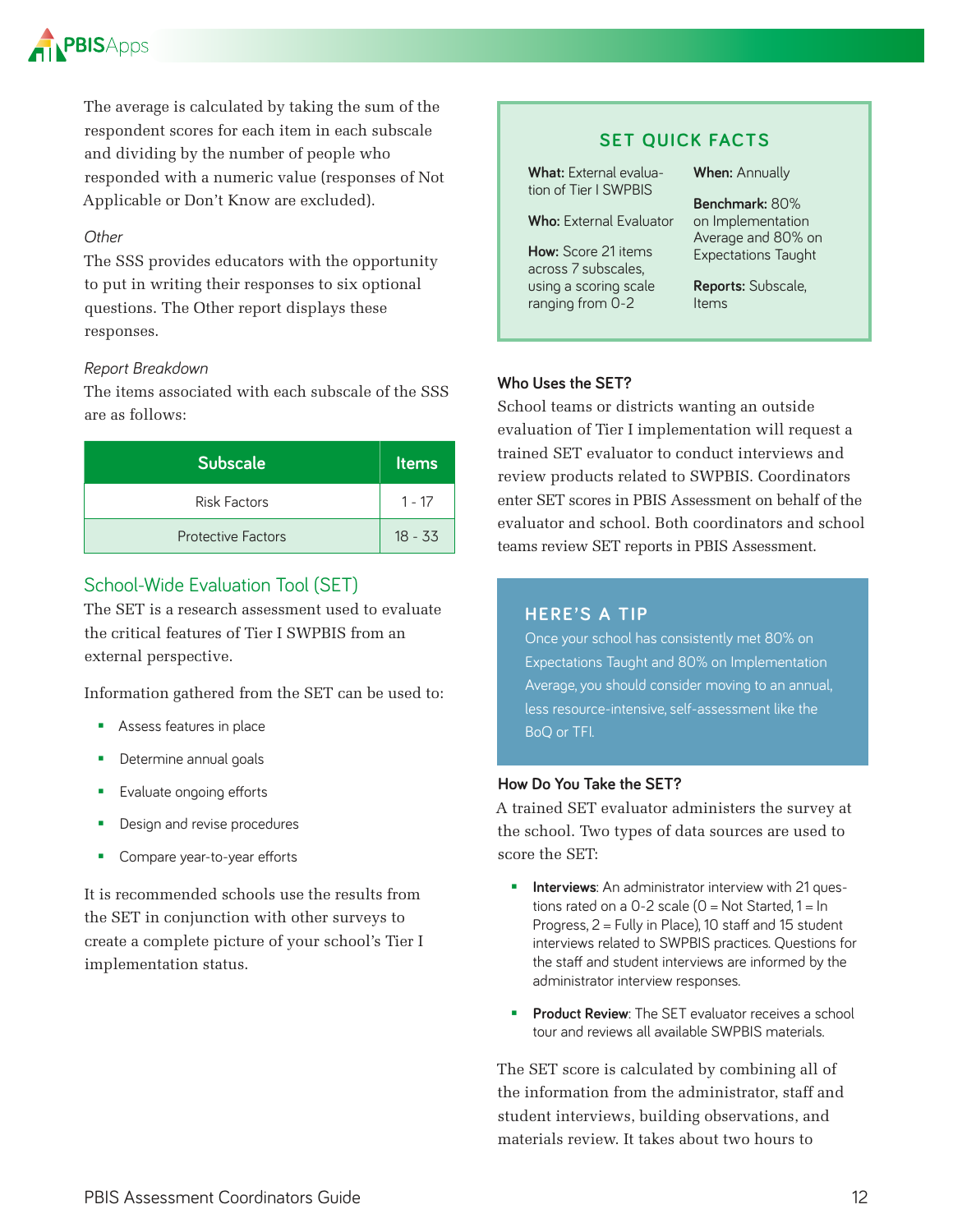

The average is calculated by taking the sum of the respondent scores for each item in each subscale and dividing by the number of people who responded with a numeric value (responses of Not Applicable or Don't Know are excluded).

#### *Other*

The SSS provides educators with the opportunity to put in writing their responses to six optional questions. The Other report displays these responses.

#### *Report Breakdown*

The items associated with each subscale of the SSS are as follows:

| <b>Subscale</b>           | <b>Items</b> |
|---------------------------|--------------|
| Risk Factors              | 1 - 17       |
| <b>Protective Factors</b> | $18 - 33$    |

#### School-Wide Evaluation Tool (SET)

The SET is a research assessment used to evaluate the critical features of Tier I SWPBIS from an external perspective.

Information gathered from the SET can be used to:

- Assess features in place
- **Determine annual goals**
- **Evaluate ongoing efforts**
- **Design and revise procedures**
- **Compare year-to-year efforts**

It is recommended schools use the results from the SET in conjunction with other surveys to create a complete picture of your school's Tier I implementation status.

#### **SET QUICK FACTS**

What: External evaluation of Tier I SWPBIS

**Who:** External Evaluator

**How:** Score 21 items across 7 subscales, using a scoring scale ranging from 0-2

**When:** Annually

**Benchmark:** 80% on Implementation Average and 80% on Expectations Taught

**Reports:** Subscale, Items

#### **Who Uses the SET?**

School teams or districts wanting an outside evaluation of Tier I implementation will request a trained SET evaluator to conduct interviews and review products related to SWPBIS. Coordinators enter SET scores in PBIS Assessment on behalf of the evaluator and school. Both coordinators and school teams review SET reports in PBIS Assessment.

#### **HERE'S A TIP**

Once your school has consistently met 80% on Expectations Taught and 80% on Implementation Average, you should consider moving to an annual, less resource-intensive, self-assessment like the BoQ or TFI

#### **How Do You Take the SET?**

A trained SET evaluator administers the survey at the school. Two types of data sources are used to score the SET:

- **Interviews:** An administrator interview with 21 questions rated on a  $0-2$  scale  $(0 = Not Started, 1 = In$ Progress, 2 = Fully in Place), 10 staff and 15 student interviews related to SWPBIS practices Questions for the staff and student interviews are informed by the administrator interview responses
- **Product Review:** The SET evaluator receives a school tour and reviews all available SWPBIS materials

The SET score is calculated by combining all of the information from the administrator, staff and student interviews, building observations, and materials review. It takes about two hours to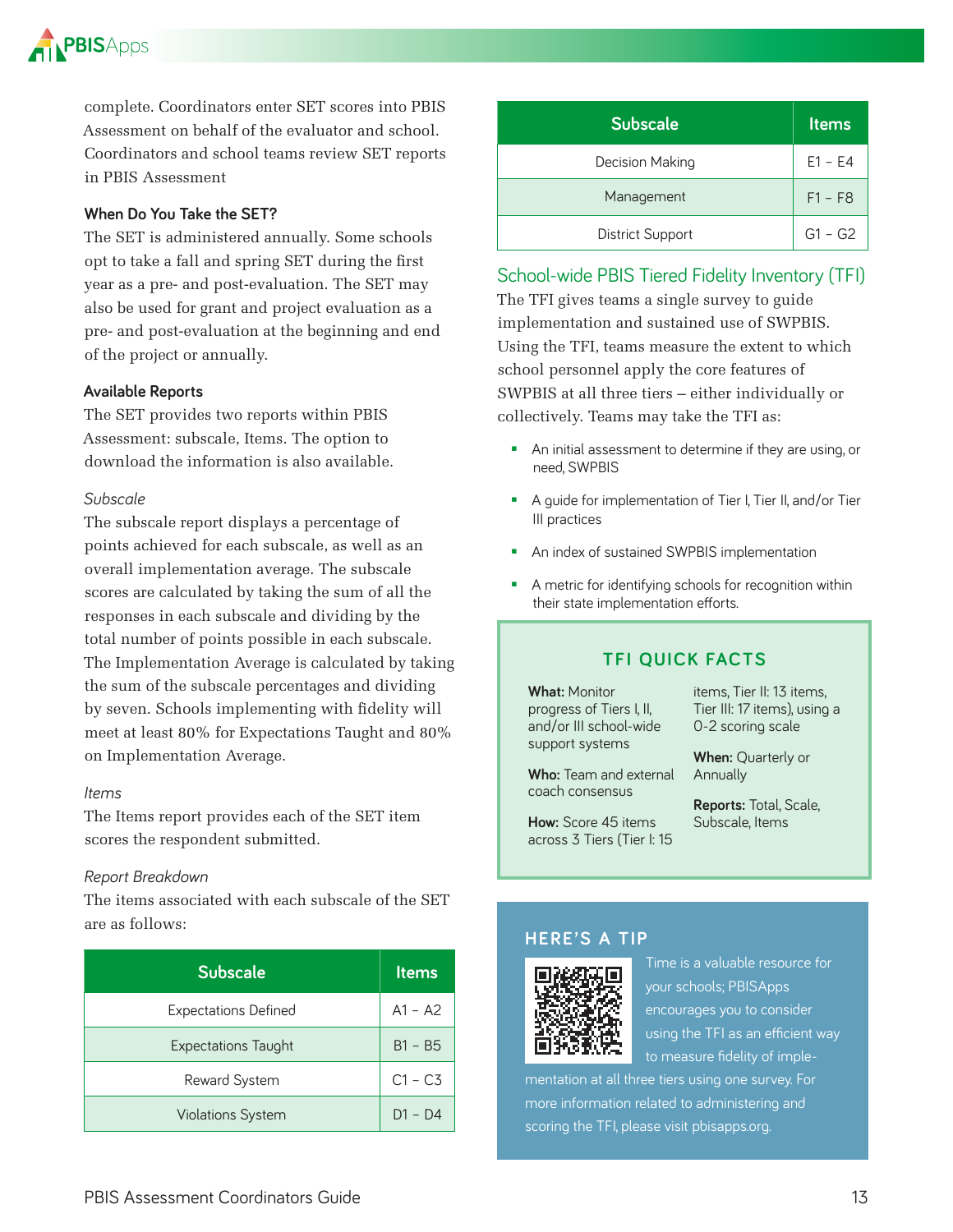

complete. Coordinators enter SET scores into PBIS Assessment on behalf of the evaluator and school. Coordinators and school teams review SET reports in PBIS Assessment

#### **When Do You Take the SET?**

The SET is administered annually. Some schools opt to take a fall and spring SET during the first year as a pre- and post-evaluation. The SET may also be used for grant and project evaluation as a pre- and post-evaluation at the beginning and end of the project or annually.

#### **Available Reports**

The SET provides two reports within PBIS Assessment: subscale, Items. The option to download the information is also available.

#### *Subscale*

The subscale report displays a percentage of points achieved for each subscale, as well as an overall implementation average. The subscale scores are calculated by taking the sum of all the responses in each subscale and dividing by the total number of points possible in each subscale. The Implementation Average is calculated by taking the sum of the subscale percentages and dividing by seven. Schools implementing with fidelity will meet at least 80% for Expectations Taught and 80% on Implementation Average.

#### *Items*

The Items report provides each of the SET item scores the respondent submitted.

#### *Report Breakdown*

The items associated with each subscale of the SET are as follows:

| <b>Subscale</b>             | <b>Items</b> |
|-----------------------------|--------------|
| <b>Expectations Defined</b> | $A1 - A2$    |
| Expectations Taught         | $B1 - B5$    |
| Reward System               | $C1 - C3$    |
| <b>Violations System</b>    | $D1 - D4$    |

| <b>Subscale</b>         | <b>Items</b> |
|-------------------------|--------------|
| Decision Making         | $E1 - E4$    |
| Management              | $F1 - F8$    |
| <b>District Support</b> | $G1 - G2$    |

#### School-wide PBIS Tiered Fidelity Inventory (TFI)

The TFI gives teams a single survey to guide implementation and sustained use of SWPBIS. Using the TFI, teams measure the extent to which school personnel apply the core features of SWPBIS at all three tiers – either individually or collectively. Teams may take the TFI as:

- **An initial assessment to determine if they are using, or** need, SWPBIS
- A guide for implementation of Tier I, Tier II, and/or Tier III practices
- **An index of sustained SWPBIS implementation**
- A metric for identifying schools for recognition within their state implementation efforts

#### **TFI QUICK FACTS**

**What:** Monitor progress of Tiers I, II, and/or III school-wide support systems

**Who:** Team and external coach consensus

**How:** Score 45 items

items, Tier II: 13 items, Tier III: 17 items), using a 0-2 scoring scale

**When:** Quarterly or Annually

**Reports:** Total, Scale, Subscale, Items

## across 3 Tiers (Tier I: 15

#### **HERE'S A TIP**



Time is a valuable resource for your schools; PBISApps encourages you to consider using the TFI as an efficient way to measure fidelity of imple-

mentation at all three tiers using one survey. For more information related to administering and scoring the TFI, please visit pbisapps.org.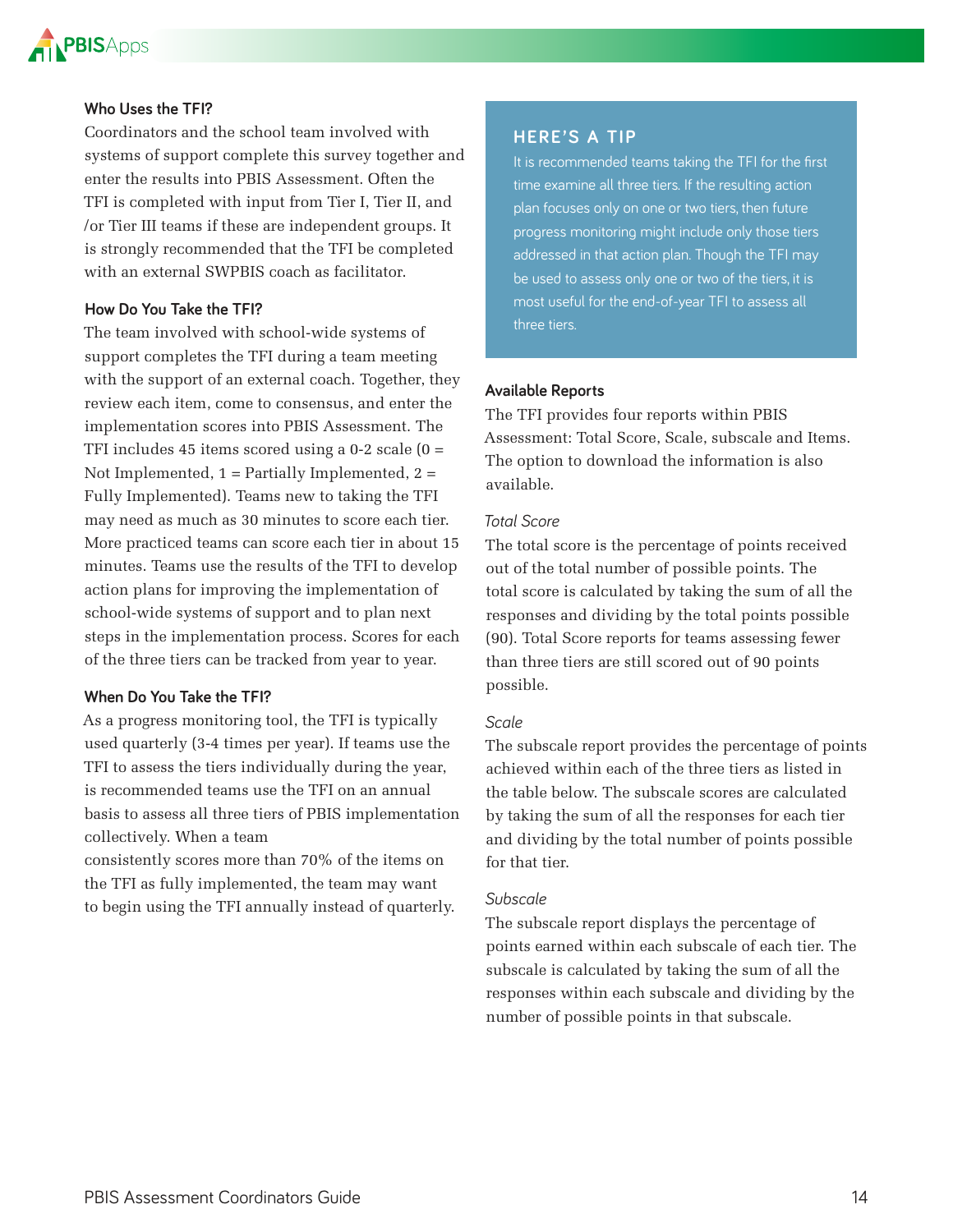

#### **Who Uses the TFI?**

Coordinators and the school team involved with systems of support complete this survey together and enter the results into PBIS Assessment. Often the TFI is completed with input from Tier I, Tier II, and /or Tier III teams if these are independent groups. It is strongly recommended that the TFI be completed with an external SWPBIS coach as facilitator.

#### **How Do You Take the TFI?**

The team involved with school-wide systems of support completes the TFI during a team meeting with the support of an external coach. Together, they review each item, come to consensus, and enter the implementation scores into PBIS Assessment. The TFI includes 45 items scored using a  $0-2$  scale  $(0 =$ Not Implemented,  $1 =$  Partially Implemented,  $2 =$ Fully Implemented). Teams new to taking the TFI may need as much as 30 minutes to score each tier. More practiced teams can score each tier in about 15 minutes. Teams use the results of the TFI to develop action plans for improving the implementation of school-wide systems of support and to plan next steps in the implementation process. Scores for each of the three tiers can be tracked from year to year.

#### **When Do You Take the TFI?**

As a progress monitoring tool, the TFI is typically used quarterly (3-4 times per year). If teams use the TFI to assess the tiers individually during the year, is recommended teams use the TFI on an annual basis to assess all three tiers of PBIS implementation collectively. When a team

consistently scores more than 70% of the items on the TFI as fully implemented, the team may want to begin using the TFI annually instead of quarterly.

#### **HERE'S A TIP**

It is recommended teams taking the TFI for the first time examine all three tiers. If the resulting action plan focuses only on one or two tiers, then future progress monitoring might include only those tiers addressed in that action plan. Though the TFI may be used to assess only one or two of the tiers, it is most useful for the end-of-year TFI to assess all three tiers

#### **Available Reports**

The TFI provides four reports within PBIS Assessment: Total Score, Scale, subscale and Items. The option to download the information is also available.

#### *Total Score*

The total score is the percentage of points received out of the total number of possible points. The total score is calculated by taking the sum of all the responses and dividing by the total points possible (90). Total Score reports for teams assessing fewer than three tiers are still scored out of 90 points possible.

#### *Scale*

The subscale report provides the percentage of points achieved within each of the three tiers as listed in the table below. The subscale scores are calculated by taking the sum of all the responses for each tier and dividing by the total number of points possible for that tier.

#### *Subscale*

The subscale report displays the percentage of points earned within each subscale of each tier. The subscale is calculated by taking the sum of all the responses within each subscale and dividing by the number of possible points in that subscale.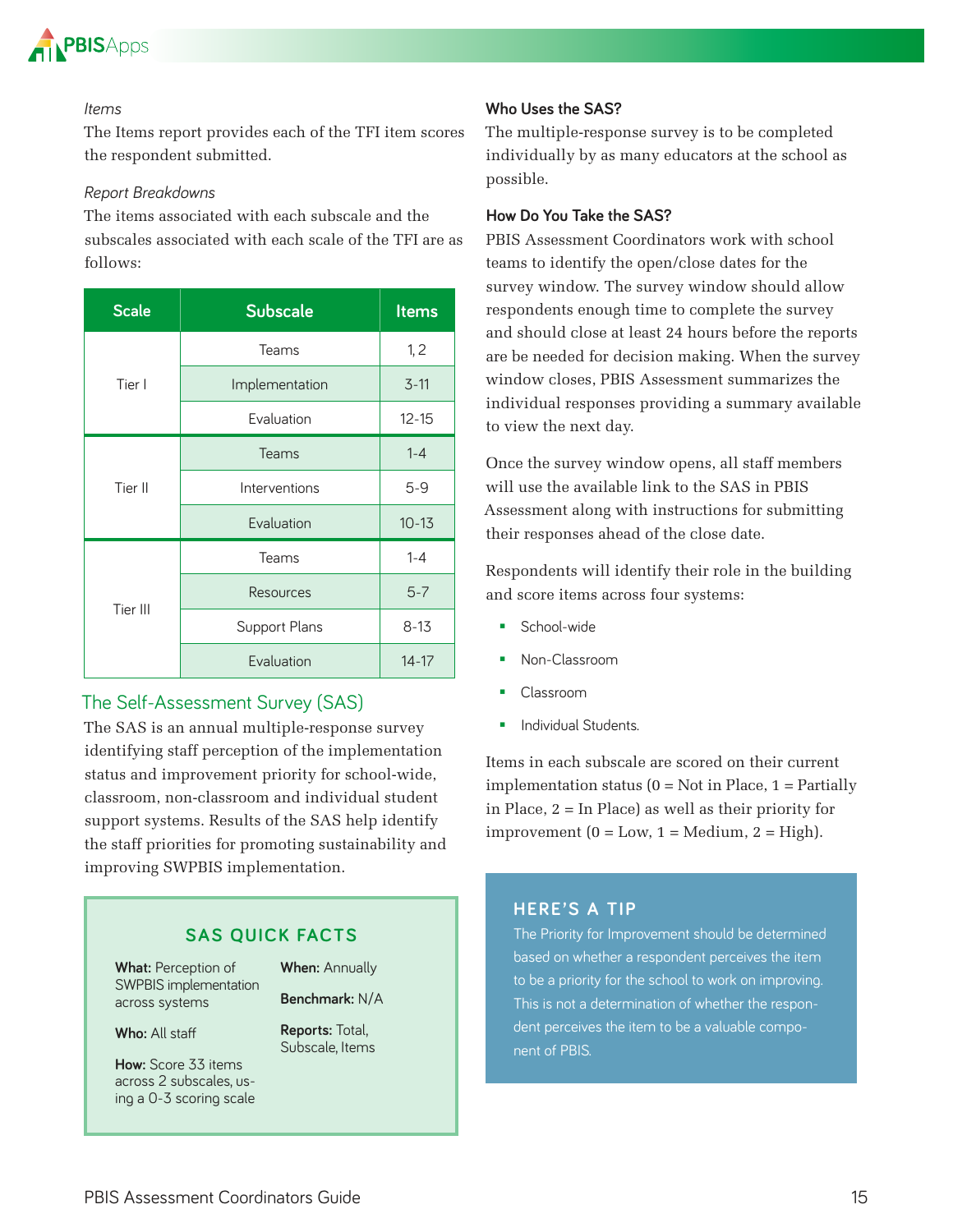

#### *Items*

The Items report provides each of the TFI item scores the respondent submitted.

#### *Report Breakdowns*

The items associated with each subscale and the subscales associated with each scale of the TFI are as follows:

| <b>Scale</b> | <b>Subscale</b> | <b>Items</b> |
|--------------|-----------------|--------------|
|              | Teams           | 1, 2         |
| Tier I       | Implementation  | $3 - 11$     |
|              | Evaluation      | $12 - 15$    |
|              | Teams           | $1 - 4$      |
| Tier II      | Interventions   | $5 - 9$      |
|              | Evaluation      | $10 - 13$    |
|              | Teams           | $1 - 4$      |
| Tier III     | Resources       | $5 - 7$      |
|              | Support Plans   | $8 - 13$     |
|              | Evaluation      | $14 - 17$    |

#### The Self-Assessment Survey (SAS)

The SAS is an annual multiple-response survey identifying staff perception of the implementation status and improvement priority for school-wide, classroom, non-classroom and individual student support systems. Results of the SAS help identify the staff priorities for promoting sustainability and improving SWPBIS implementation.

#### **SAS QUICK FACTS**

**What:** Perception of SWPBIS implementation across systems

**When:** Annually

**Benchmark:** N/A **Reports:** Total,

Subscale, Items

**Who:** All staff

**How:** Score 33 items across 2 subscales, using a 0-3 scoring scale **Who Uses the SAS?**

The multiple-response survey is to be completed individually by as many educators at the school as possible.

#### **How Do You Take the SAS?**

PBIS Assessment Coordinators work with school teams to identify the open/close dates for the survey window. The survey window should allow respondents enough time to complete the survey and should close at least 24 hours before the reports are be needed for decision making. When the survey window closes, PBIS Assessment summarizes the individual responses providing a summary available to view the next day.

Once the survey window opens, all staff members will use the available link to the SAS in PBIS Assessment along with instructions for submitting their responses ahead of the close date.

Respondents will identify their role in the building and score items across four systems:

- School-wide
- Non-Classroom
- Classroom
- **Individual Students.**

Items in each subscale are scored on their current implementation status  $(0 = Not in Place, 1 = Partially)$ in Place, 2 = In Place) as well as their priority for improvement  $(0 = Low, 1 = Medium, 2 = High)$ .

#### **HERE'S A TIP**

The Priority for Improvement should be determined based on whether a respondent perceives the item to be a priority for the school to work on improving This is not a determination of whether the respondent perceives the item to be a valuable component of PBIS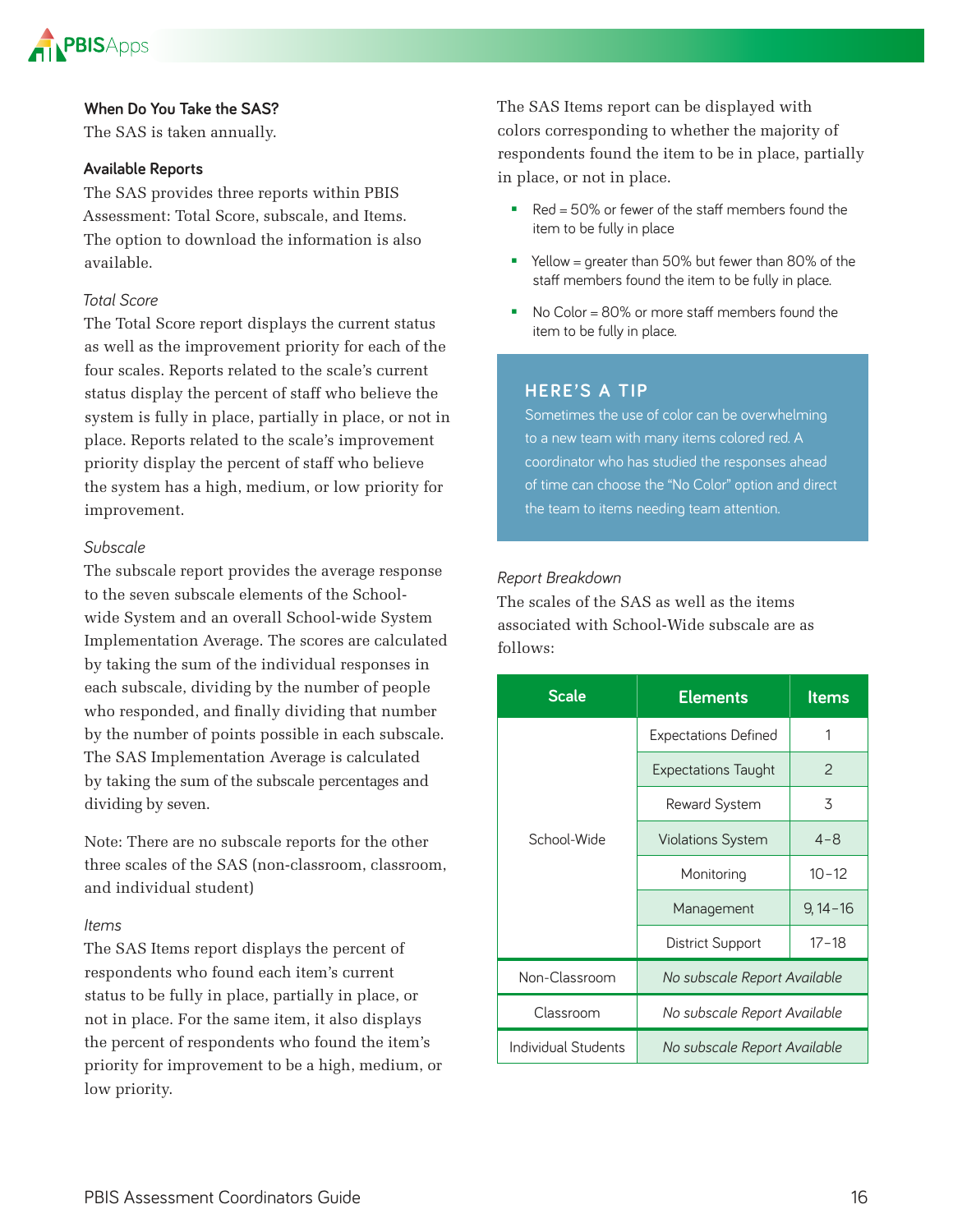

#### **When Do You Take the SAS?**

The SAS is taken annually.

#### **Available Reports**

The SAS provides three reports within PBIS Assessment: Total Score, subscale, and Items. The option to download the information is also available.

#### *Total Score*

The Total Score report displays the current status as well as the improvement priority for each of the four scales. Reports related to the scale's current status display the percent of staff who believe the system is fully in place, partially in place, or not in place. Reports related to the scale's improvement priority display the percent of staff who believe the system has a high, medium, or low priority for improvement.

#### *Subscale*

The subscale report provides the average response to the seven subscale elements of the Schoolwide System and an overall School-wide System Implementation Average. The scores are calculated by taking the sum of the individual responses in each subscale, dividing by the number of people who responded, and finally dividing that number by the number of points possible in each subscale. The SAS Implementation Average is calculated by taking the sum of the subscale percentages and dividing by seven.

Note: There are no subscale reports for the other three scales of the SAS (non-classroom, classroom, and individual student)

#### *Items*

The SAS Items report displays the percent of respondents who found each item's current status to be fully in place, partially in place, or not in place. For the same item, it also displays the percent of respondents who found the item's priority for improvement to be a high, medium, or low priority.

The SAS Items report can be displayed with colors corresponding to whether the majority of respondents found the item to be in place, partially in place, or not in place.

- Red =  $50\%$  or fewer of the staff members found the item to be fully in place
- Yellow = greater than 50% but fewer than 80% of the staff members found the item to be fully in place
- No Color = 80% or more staff members found the item to be fully in place

#### **HERE'S A TIP**

Sometimes the use of color can be overwhelming to a new team with many items colored red A coordinator who has studied the responses ahead of time can choose the "No Color" option and direct the team to items needing team attention.

#### *Report Breakdown*

The scales of the SAS as well as the items associated with School-Wide subscale are as follows:

| <b>Scale</b>                                        | <b>Elements</b>              | ltems       |  |  |  |
|-----------------------------------------------------|------------------------------|-------------|--|--|--|
|                                                     | <b>Expectations Defined</b>  | 1           |  |  |  |
|                                                     | <b>Expectations Taught</b>   | 2           |  |  |  |
|                                                     | Reward System                | 3           |  |  |  |
| School-Wide                                         | <b>Violations System</b>     | $4 - 8$     |  |  |  |
|                                                     | Monitoring                   | $10 - 12$   |  |  |  |
|                                                     | Management                   | $9,14 - 16$ |  |  |  |
|                                                     | <b>District Support</b>      | $17 - 18$   |  |  |  |
| Non-Classroom                                       | No subscale Report Available |             |  |  |  |
| Classroom                                           | No subscale Report Available |             |  |  |  |
| Individual Students<br>No subscale Report Available |                              |             |  |  |  |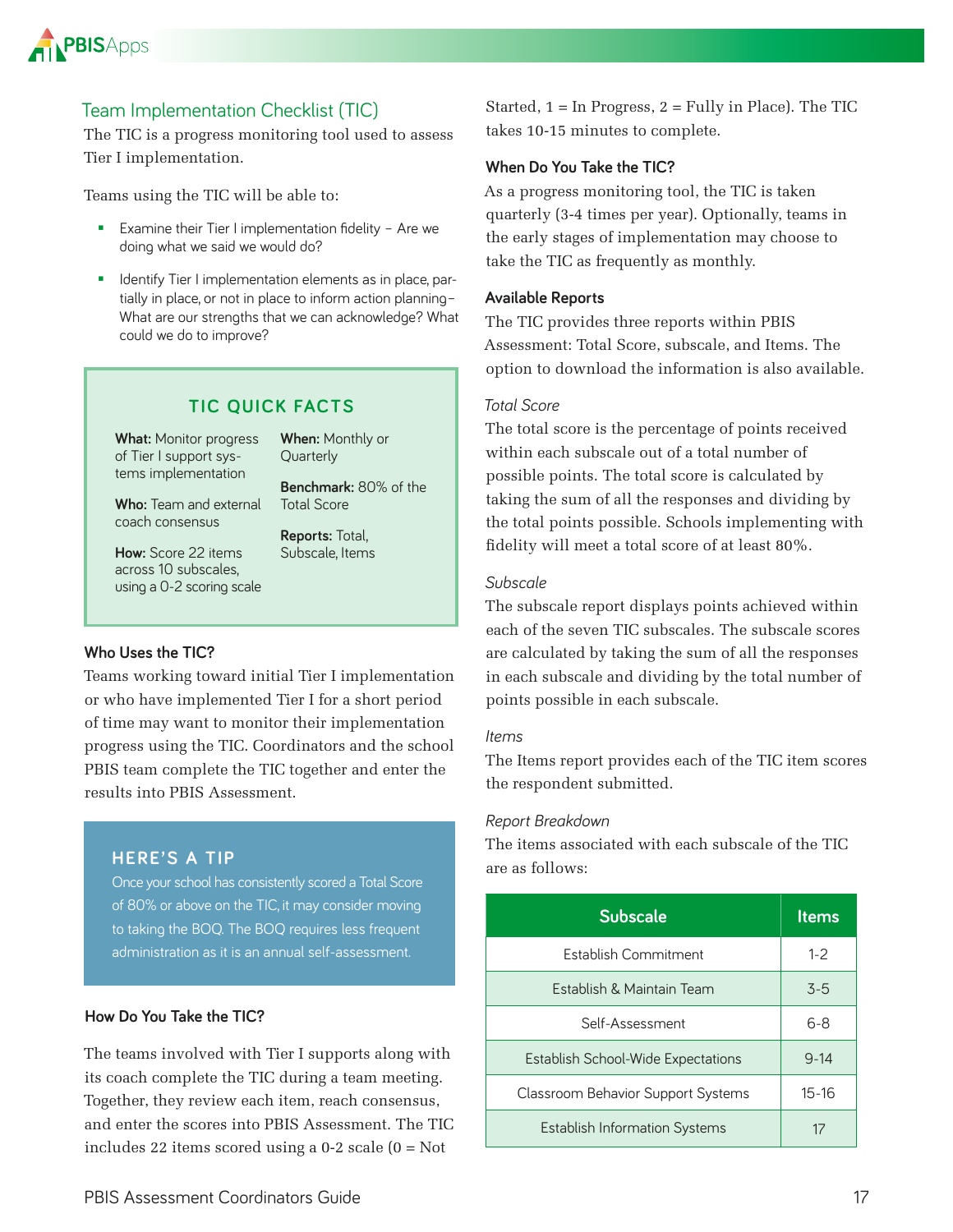

#### Team Implementation Checklist (TIC)

The TIC is a progress monitoring tool used to assess Tier I implementation.

Teams using the TIC will be able to:

- **Examine their Tier I implementation fidelity Are we** doing what we said we would do?
- **IDENTIFY That I implementation elements as in place, par**tially in place, or not in place to inform action planning– What are our strengths that we can acknowledge? What could we do to improve?

#### **TIC QUICK FACTS**

**What:** Monitor progress of Tier I support systems implementation

**When:** Monthly or **Quarterly** 

Total Score

**Reports:** Total, Subscale, Items

**Benchmark:** 80% of the

**Who:** Team and external coach consensus

**How:** Score 22 items across 10 subscales, using a 0-2 scoring scale

#### **Who Uses the TIC?**

Teams working toward initial Tier I implementation or who have implemented Tier I for a short period of time may want to monitor their implementation progress using the TIC. Coordinators and the school PBIS team complete the TIC together and enter the results into PBIS Assessment.

#### **HERE'S A TIP**

Once your school has consistently scored a Total Score of 80% or above on the TIC, it may consider moving to taking the BOQ The BOQ requires less frequent administration as it is an annual self-assessment.

#### **How Do You Take the TIC?**

The teams involved with Tier I supports along with its coach complete the TIC during a team meeting. Together, they review each item, reach consensus, and enter the scores into PBIS Assessment. The TIC includes 22 items scored using a 0-2 scale (0 = Not

Started,  $1 = \text{In Progress}, 2 = \text{Fullv}$  in Place). The TIC takes 10-15 minutes to complete.

#### **When Do You Take the TIC?**

As a progress monitoring tool, the TIC is taken quarterly (3-4 times per year). Optionally, teams in the early stages of implementation may choose to take the TIC as frequently as monthly.

#### **Available Reports**

The TIC provides three reports within PBIS Assessment: Total Score, subscale, and Items. The option to download the information is also available.

#### *Total Score*

The total score is the percentage of points received within each subscale out of a total number of possible points. The total score is calculated by taking the sum of all the responses and dividing by the total points possible. Schools implementing with fidelity will meet a total score of at least 80%.

#### *Subscale*

The subscale report displays points achieved within each of the seven TIC subscales. The subscale scores are calculated by taking the sum of all the responses in each subscale and dividing by the total number of points possible in each subscale.

#### *Items*

The Items report provides each of the TIC item scores the respondent submitted.

#### *Report Breakdown*

The items associated with each subscale of the TIC are as follows:

| <b>Subscale</b>                           | <b>Items</b> |
|-------------------------------------------|--------------|
| Establish Commitment                      | $1 - 2$      |
| <b>Establish &amp; Maintain Team</b>      | $3 - 5$      |
| Self-Assessment                           | $6 - 8$      |
| <b>Establish School-Wide Expectations</b> | $9 - 14$     |
| Classroom Behavior Support Systems        | $15 - 16$    |
| <b>Establish Information Systems</b>      |              |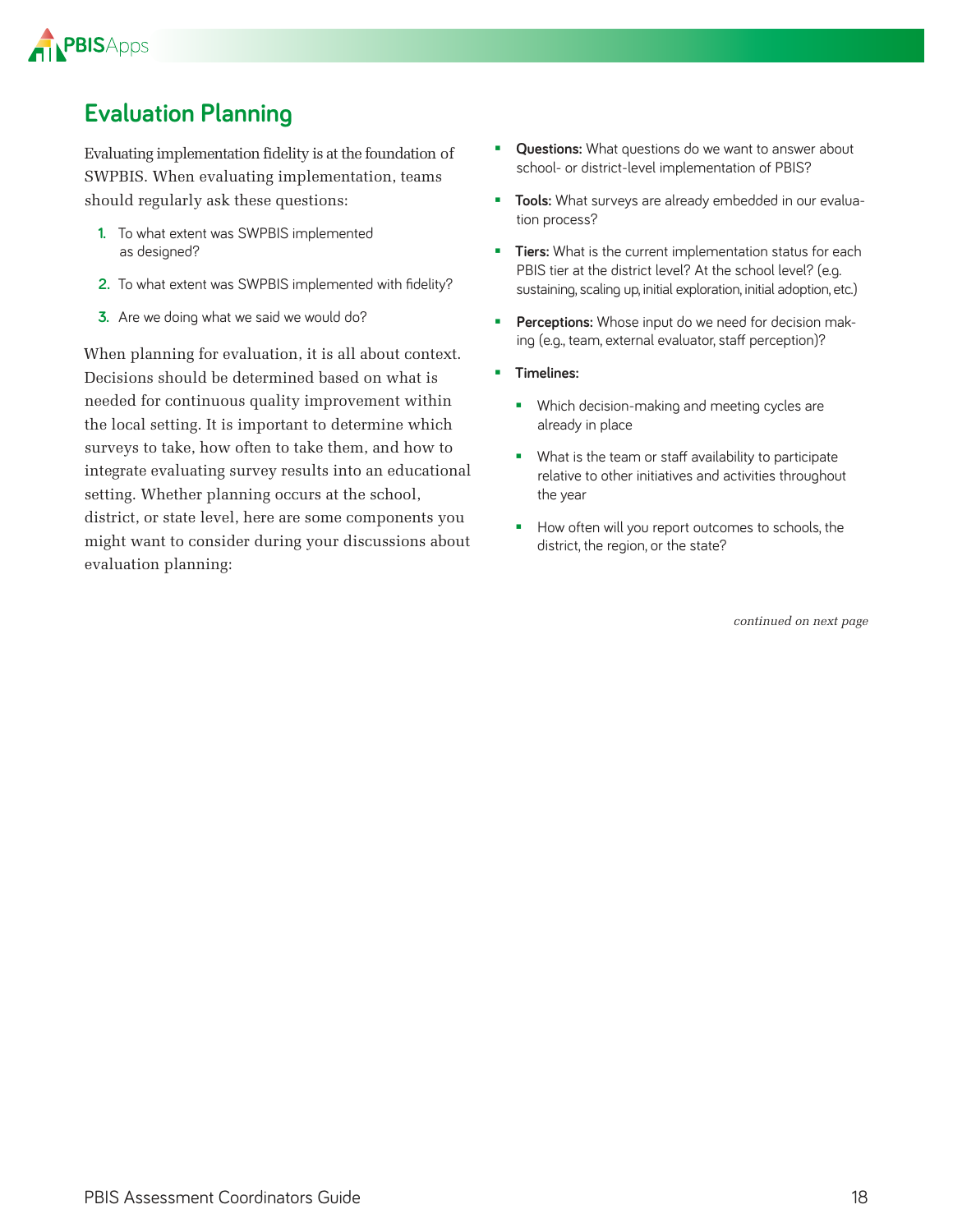

### **Evaluation Planning**

Evaluating implementation fidelity is at the foundation of SWPBIS. When evaluating implementation, teams should regularly ask these questions:

- **1.** To what extent was SWPBIS implemented as designed?
- **2.** To what extent was SWPBIS implemented with fidelity?
- **3.** Are we doing what we said we would do?

When planning for evaluation, it is all about context. Decisions should be determined based on what is needed for continuous quality improvement within the local setting. It is important to determine which surveys to take, how often to take them, and how to integrate evaluating survey results into an educational setting. Whether planning occurs at the school, district, or state level, here are some components you might want to consider during your discussions about evaluation planning:

- **Questions:** What questions do we want to answer about school- or district-level implementation of PBIS?
- **Tools:** What surveys are already embedded in our evaluation process?
- **Tiers:** What is the current implementation status for each PBIS tier at the district level? At the school level? (e.g. sustaining, scaling up, initial exploration, initial adoption, etc.)
- **Perceptions:** Whose input do we need for decision making (e.g., team, external evaluator, staff perception)?
- **Timelines:**
	- **Which decision-making and meeting cycles are** already in place
	- **What is the team or staff availability to participate** relative to other initiatives and activities throughout the year
	- How often will you report outcomes to schools, the district, the region, or the state?

*continued on next page*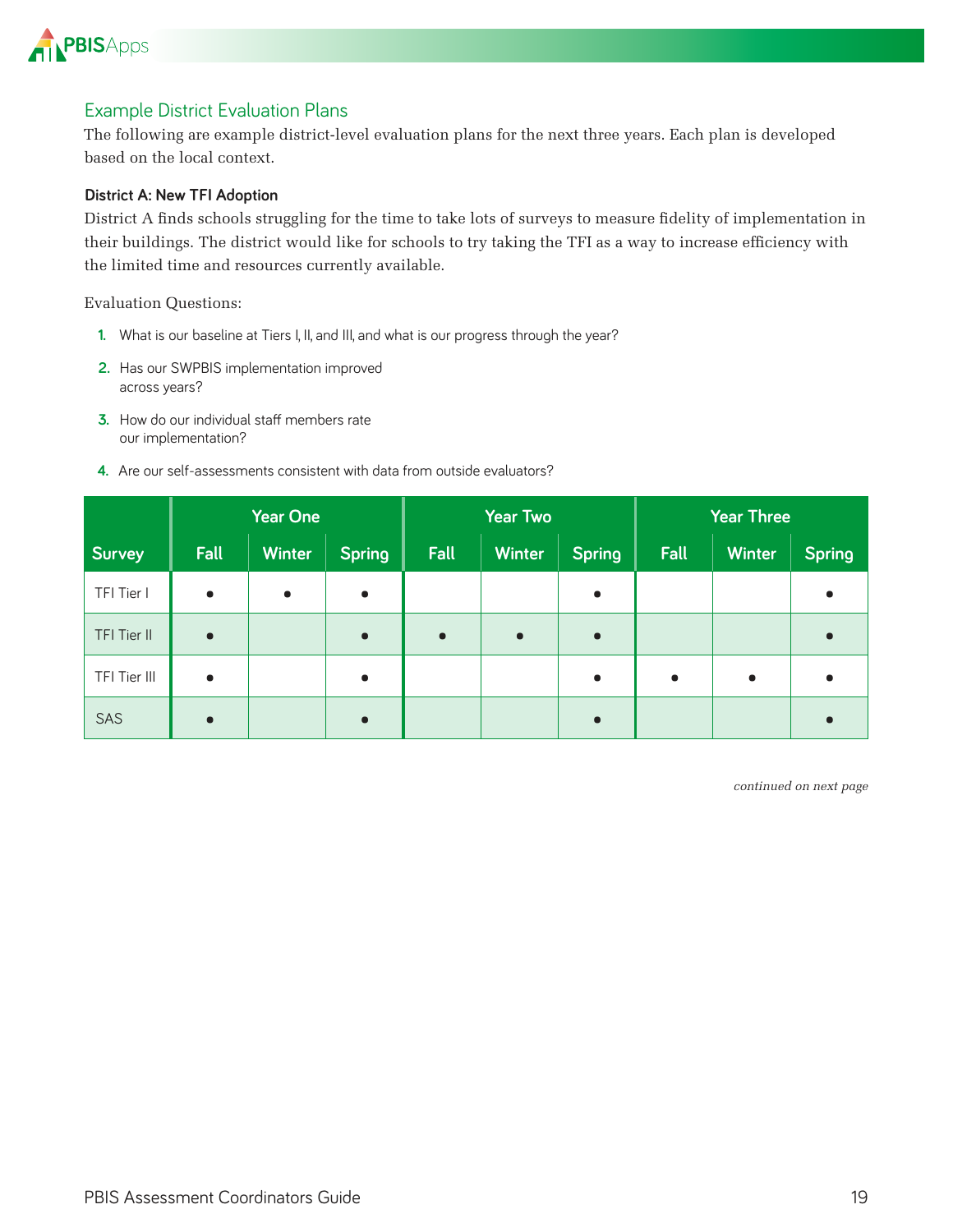

#### Example District Evaluation Plans

The following are example district-level evaluation plans for the next three years. Each plan is developed based on the local context.

#### **District A: New TFI Adoption**

District A finds schools struggling for the time to take lots of surveys to measure fidelity of implementation in their buildings. The district would like for schools to try taking the TFI as a way to increase efficiency with the limited time and resources currently available.

Evaluation Questions:

- **1.** What is our baseline at Tiers I, II, and III, and what is our progress through the year?
- 2. Has our SWPBIS implementation improved across years?
- **3.** How do our individual staff members rate our implementation?
- **4** Are our self-assessments consistent with data from outside evaluators?

|              | <b>Year One</b> |               |               | <b>Year Two</b> |               |               | <b>Year Three</b> |               |               |
|--------------|-----------------|---------------|---------------|-----------------|---------------|---------------|-------------------|---------------|---------------|
| Survey       | Fall            | <b>Winter</b> | <b>Spring</b> | Fall            | <b>Winter</b> | <b>Spring</b> | Fall              | <b>Winter</b> | <b>Spring</b> |
| TFI Tier I   | $\bullet$       | $\bullet$     | $\bullet$     |                 |               | $\bullet$     |                   |               | $\bullet$     |
| TFI Tier II  | $\bullet$       |               | $\bullet$     | $\bullet$       | $\bullet$     | $\bullet$     |                   |               |               |
| TFI Tier III | $\bullet$       |               | $\bullet$     |                 |               | $\bullet$     | $\bullet$         | $\bullet$     | $\bullet$     |
| SAS          | $\bullet$       |               | $\bullet$     |                 |               | $\bullet$     |                   |               |               |

*continued on next page*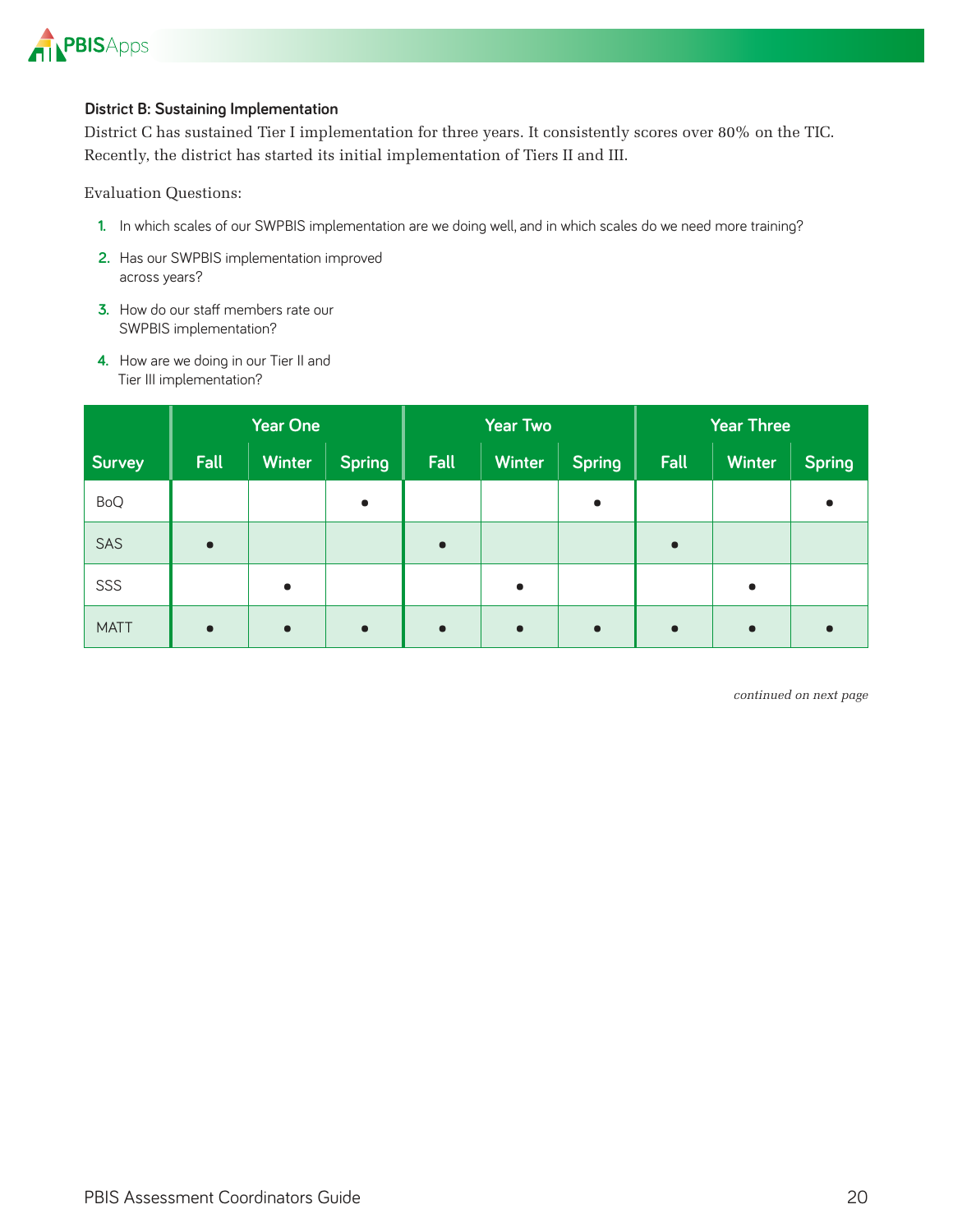

#### **District B: Sustaining Implementation**

District C has sustained Tier I implementation for three years. It consistently scores over 80% on the TIC. Recently, the district has started its initial implementation of Tiers II and III.

Evaluation Questions:

- **1** In which scales of our SWPBIS implementation are we doing well, and in which scales do we need more training?
- 2. Has our SWPBIS implementation improved across years?
- **3.** How do our staff members rate our SWPBIS implementation?
- **4.** How are we doing in our Tier II and Tier III implementation?

|             | <b>Year One</b> |           |               | <b>Year Two</b> |               |               | <b>Year Three</b> |               |               |
|-------------|-----------------|-----------|---------------|-----------------|---------------|---------------|-------------------|---------------|---------------|
| Survey      | <b>Fall</b>     | Winter    | <b>Spring</b> | Fall            | <b>Winter</b> | <b>Spring</b> | Fall              | <b>Winter</b> | <b>Spring</b> |
| <b>BoQ</b>  |                 |           | $\bullet$     |                 |               | $\bullet$     |                   |               | $\bullet$     |
| SAS         | $\bullet$       |           |               |                 |               |               | $\bullet$         |               |               |
| SSS         |                 | $\bullet$ |               |                 | $\bullet$     |               |                   | $\bullet$     |               |
| <b>MATT</b> | $\bullet$       | $\bullet$ | $\bullet$     |                 | $\bullet$     | $\bullet$     | $\bullet$         | $\bullet$     |               |

*continued on next page*